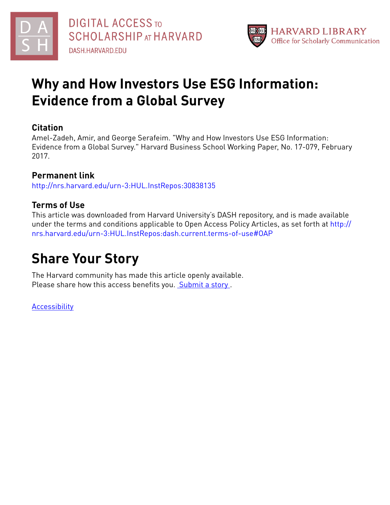



## **Why and How Investors Use ESG Information: Evidence from a Global Survey**

### **Citation**

Amel-Zadeh, Amir, and George Serafeim. "Why and How Investors Use ESG Information: Evidence from a Global Survey." Harvard Business School Working Paper, No. 17-079, February 2017.

## **Permanent link**

<http://nrs.harvard.edu/urn-3:HUL.InstRepos:30838135>

## **Terms of Use**

This article was downloaded from Harvard University's DASH repository, and is made available under the terms and conditions applicable to Open Access Policy Articles, as set forth at [http://](http://nrs.harvard.edu/urn-3:HUL.InstRepos:dash.current.terms-of-use#OAP) [nrs.harvard.edu/urn-3:HUL.InstRepos:dash.current.terms-of-use#OAP](http://nrs.harvard.edu/urn-3:HUL.InstRepos:dash.current.terms-of-use#OAP)

## **Share Your Story**

The Harvard community has made this article openly available. Please share how this access benefits you. [Submit](http://osc.hul.harvard.edu/dash/open-access-feedback?handle=&title=Why%20and%20How%20Investors%20Use%20ESG%20Information:%20Evidence%20from%20a%20Global%20Survey&community=1/3345929&collection=1/3345930&owningCollection1/3345930&harvardAuthors=c2f52fd9cbb31ceeedde31a32aae9731&department) a story.

[Accessibility](https://dash.harvard.edu/pages/accessibility)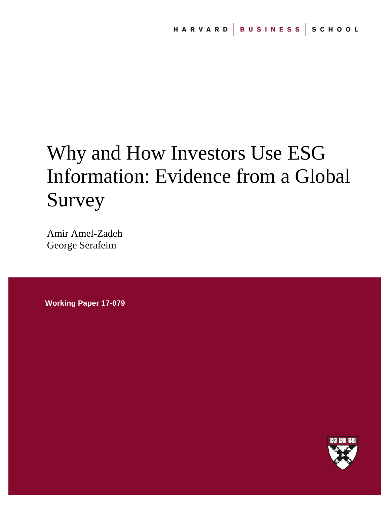# Why and How Investors Use ESG Information: Evidence from a Global Survey

Amir Amel-Zadeh George Serafeim

**Working Paper 17-079**

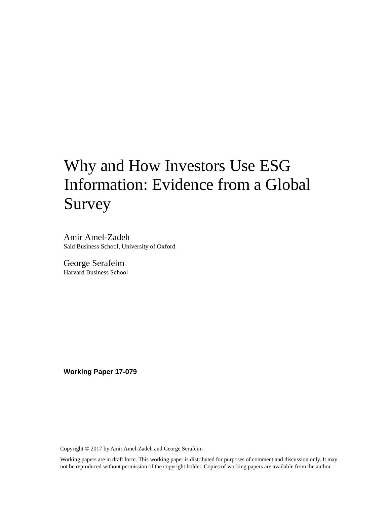## Why and How Investors Use ESG Information: Evidence from a Global Survey

Amir Amel-Zadeh Said Business School, University of Oxford

George Serafeim Harvard Business School

**Working Paper 17-079**

Copyright © 2017 by Amir Amel-Zadeh and George Serafeim

Working papers are in draft form. This working paper is distributed for purposes of comment and discussion only. It may not be reproduced without permission of the copyright holder. Copies of working papers are available from the author.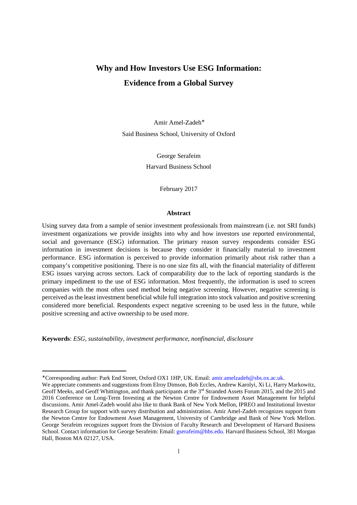## **Why and How Investors Use ESG Information: Evidence from a Global Survey**

Amir Amel-Zadeh<sup>∗</sup> Said Business School, University of Oxford

> George Serafeim Harvard Business School

> > February 2017

#### **Abstract**

Using survey data from a sample of senior investment professionals from mainstream (i.e. not SRI funds) investment organizations we provide insights into why and how investors use reported environmental, social and governance (ESG) information. The primary reason survey respondents consider ESG information in investment decisions is because they consider it financially material to investment performance. ESG information is perceived to provide information primarily about risk rather than a company's competitive positioning. There is no one size fits all, with the financial materiality of different ESG issues varying across sectors. Lack of comparability due to the lack of reporting standards is the primary impediment to the use of ESG information. Most frequently, the information is used to screen companies with the most often used method being negative screening. However, negative screening is perceived as the least investment beneficial while full integration into stock valuation and positive screening considered more beneficial. Respondents expect negative screening to be used less in the future, while positive screening and active ownership to be used more.

**Keywords**: *ESG, sustainability, investment performance, nonfinancial, disclosure* 

 $\overline{a}$ 

<sup>∗</sup> Corresponding author: Park End Street, Oxford OX1 1HP, UK. Email: amir.amelzadeh@sbs.ox.ac.uk.

We appreciate comments and suggestions from Elroy Dimson, Bob Eccles, Andrew Karolyi, Xi Li, Harry Markowitz, Geoff Meeks, and Geoff Whittington, and thank participants at the 3<sup>rd</sup> Stranded Assets Forum 2015, and the 2015 and 2016 Conference on Long-Term Investing at the Newton Centre for Endowment Asset Management for helpful discussions. Amir Amel-Zadeh would also like to thank Bank of New York Mellon, IPREO and Institutional Investor Research Group for support with survey distribution and administration. Amir Amel-Zadeh recognizes support from the Newton Centre for Endowment Asset Management, University of Cambridge and Bank of New York Mellon. George Serafeim recognizes support from the Division of Faculty Research and Development of Harvard Business School. Contact information for George Serafeim: Email: gserafeim@hbs.edu. Harvard Business School, 381 Morgan Hall, Boston MA 02127, USA.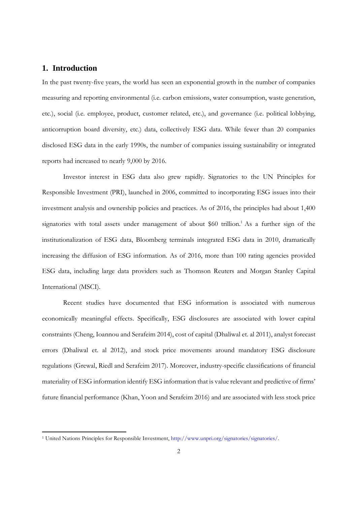#### **1. Introduction**

 $\overline{a}$ 

In the past twenty-five years, the world has seen an exponential growth in the number of companies measuring and reporting environmental (i.e. carbon emissions, water consumption, waste generation, etc.), social (i.e. employee, product, customer related, etc.), and governance (i.e. political lobbying, anticorruption board diversity, etc.) data, collectively ESG data. While fewer than 20 companies disclosed ESG data in the early 1990s, the number of companies issuing sustainability or integrated reports had increased to nearly 9,000 by 2016.

Investor interest in ESG data also grew rapidly. Signatories to the UN Principles for Responsible Investment (PRI), launched in 2006, committed to incorporating ESG issues into their investment analysis and ownership policies and practices. As of 2016, the principles had about 1,400 signatories with total assets under management of about \$60 trillion.<sup>1</sup> As a further sign of the institutionalization of ESG data, Bloomberg terminals integrated ESG data in 2010, dramatically increasing the diffusion of ESG information. As of 2016, more than 100 rating agencies provided ESG data, including large data providers such as Thomson Reuters and Morgan Stanley Capital International (MSCI).

Recent studies have documented that ESG information is associated with numerous economically meaningful effects. Specifically, ESG disclosures are associated with lower capital constraints (Cheng, Ioannou and Serafeim 2014), cost of capital (Dhaliwal et. al 2011), analyst forecast errors (Dhaliwal et. al 2012), and stock price movements around mandatory ESG disclosure regulations (Grewal, Riedl and Serafeim 2017). Moreover, industry-specific classifications of financial materiality of ESG information identify ESG information that is value relevant and predictive of firms' future financial performance (Khan, Yoon and Serafeim 2016) and are associated with less stock price

<sup>&</sup>lt;sup>1</sup> United Nations Principles for Responsible Investment, http://www.unpri.org/signatories/signatories/.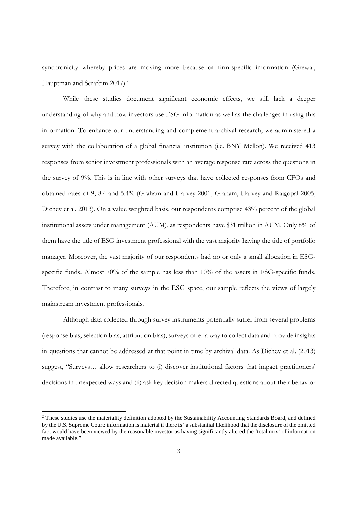synchronicity whereby prices are moving more because of firm-specific information (Grewal, Hauptman and Serafeim 2017).<sup>2</sup>

While these studies document significant economic effects, we still lack a deeper understanding of why and how investors use ESG information as well as the challenges in using this information. To enhance our understanding and complement archival research, we administered a survey with the collaboration of a global financial institution (i.e. BNY Mellon). We received 413 responses from senior investment professionals with an average response rate across the questions in the survey of 9%. This is in line with other surveys that have collected responses from CFOs and obtained rates of 9, 8.4 and 5.4% (Graham and Harvey 2001; Graham, Harvey and Rajgopal 2005; Dichev et al. 2013). On a value weighted basis, our respondents comprise 43% percent of the global institutional assets under management (AUM), as respondents have \$31 trillion in AUM. Only 8% of them have the title of ESG investment professional with the vast majority having the title of portfolio manager. Moreover, the vast majority of our respondents had no or only a small allocation in ESGspecific funds. Almost 70% of the sample has less than 10% of the assets in ESG-specific funds. Therefore, in contrast to many surveys in the ESG space, our sample reflects the views of largely mainstream investment professionals.

Although data collected through survey instruments potentially suffer from several problems (response bias, selection bias, attribution bias), surveys offer a way to collect data and provide insights in questions that cannot be addressed at that point in time by archival data. As Dichev et al. (2013) suggest, "Surveys… allow researchers to (i) discover institutional factors that impact practitioners' decisions in unexpected ways and (ii) ask key decision makers directed questions about their behavior

 $\overline{a}$ 

<sup>&</sup>lt;sup>2</sup> These studies use the materiality definition adopted by the Sustainability Accounting Standards Board, and defined by the U.S. Supreme Court: information is material if there is "a substantial likelihood that the disclosure of the omitted fact would have been viewed by the reasonable investor as having significantly altered the 'total mix' of information made available."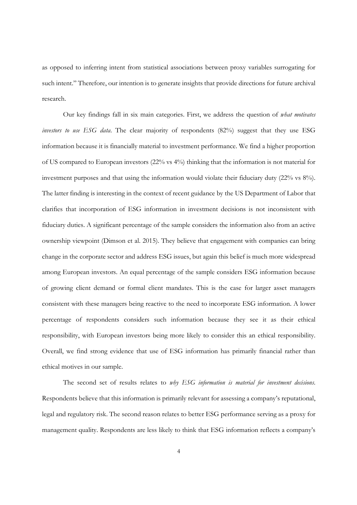as opposed to inferring intent from statistical associations between proxy variables surrogating for such intent." Therefore, our intention is to generate insights that provide directions for future archival research.

Our key findings fall in six main categories. First, we address the question of *what motivates investors to use ESG data*. The clear majority of respondents (82%) suggest that they use ESG information because it is financially material to investment performance. We find a higher proportion of US compared to European investors (22% vs 4%) thinking that the information is not material for investment purposes and that using the information would violate their fiduciary duty (22% vs 8%). The latter finding is interesting in the context of recent guidance by the US Department of Labor that clarifies that incorporation of ESG information in investment decisions is not inconsistent with fiduciary duties. A significant percentage of the sample considers the information also from an active ownership viewpoint (Dimson et al. 2015). They believe that engagement with companies can bring change in the corporate sector and address ESG issues, but again this belief is much more widespread among European investors. An equal percentage of the sample considers ESG information because of growing client demand or formal client mandates. This is the case for larger asset managers consistent with these managers being reactive to the need to incorporate ESG information. A lower percentage of respondents considers such information because they see it as their ethical responsibility, with European investors being more likely to consider this an ethical responsibility. Overall, we find strong evidence that use of ESG information has primarily financial rather than ethical motives in our sample.

The second set of results relates to *why ESG information is material for investment decisions*. Respondents believe that this information is primarily relevant for assessing a company's reputational, legal and regulatory risk. The second reason relates to better ESG performance serving as a proxy for management quality. Respondents are less likely to think that ESG information reflects a company's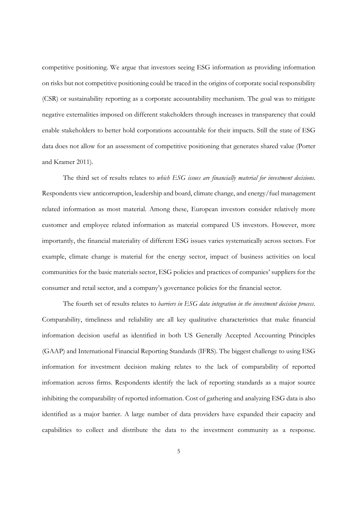competitive positioning. We argue that investors seeing ESG information as providing information on risks but not competitive positioning could be traced in the origins of corporate social responsibility (CSR) or sustainability reporting as a corporate accountability mechanism. The goal was to mitigate negative externalities imposed on different stakeholders through increases in transparency that could enable stakeholders to better hold corporations accountable for their impacts. Still the state of ESG data does not allow for an assessment of competitive positioning that generates shared value (Porter and Kramer 2011).

The third set of results relates to *which ESG issues are financially material for investment decisions*. Respondents view anticorruption, leadership and board, climate change, and energy/fuel management related information as most material. Among these, European investors consider relatively more customer and employee related information as material compared US investors. However, more importantly, the financial materiality of different ESG issues varies systematically across sectors. For example, climate change is material for the energy sector, impact of business activities on local communities for the basic materials sector, ESG policies and practices of companies' suppliers for the consumer and retail sector, and a company's governance policies for the financial sector.

The fourth set of results relates to *barriers in ESG data integration in the investment decision process*. Comparability, timeliness and reliability are all key qualitative characteristics that make financial information decision useful as identified in both US Generally Accepted Accounting Principles (GAAP) and International Financial Reporting Standards (IFRS). The biggest challenge to using ESG information for investment decision making relates to the lack of comparability of reported information across firms. Respondents identify the lack of reporting standards as a major source inhibiting the comparability of reported information. Cost of gathering and analyzing ESG data is also identified as a major barrier. A large number of data providers have expanded their capacity and capabilities to collect and distribute the data to the investment community as a response.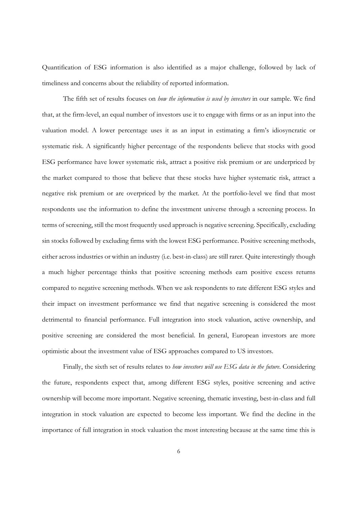Quantification of ESG information is also identified as a major challenge, followed by lack of timeliness and concerns about the reliability of reported information.

The fifth set of results focuses on *how the information is used by investors* in our sample. We find that, at the firm-level, an equal number of investors use it to engage with firms or as an input into the valuation model. A lower percentage uses it as an input in estimating a firm's idiosyncratic or systematic risk. A significantly higher percentage of the respondents believe that stocks with good ESG performance have lower systematic risk, attract a positive risk premium or are underpriced by the market compared to those that believe that these stocks have higher systematic risk, attract a negative risk premium or are overpriced by the market. At the portfolio-level we find that most respondents use the information to define the investment universe through a screening process. In terms of screening, still the most frequently used approach is negative screening. Specifically, excluding sin stocks followed by excluding firms with the lowest ESG performance. Positive screening methods, either across industries or within an industry (i.e. best-in-class) are still rarer. Quite interestingly though a much higher percentage thinks that positive screening methods earn positive excess returns compared to negative screening methods. When we ask respondents to rate different ESG styles and their impact on investment performance we find that negative screening is considered the most detrimental to financial performance. Full integration into stock valuation, active ownership, and positive screening are considered the most beneficial. In general, European investors are more optimistic about the investment value of ESG approaches compared to US investors.

Finally, the sixth set of results relates to *how investors will use ESG data in the future*. Considering the future, respondents expect that, among different ESG styles, positive screening and active ownership will become more important. Negative screening, thematic investing, best-in-class and full integration in stock valuation are expected to become less important. We find the decline in the importance of full integration in stock valuation the most interesting because at the same time this is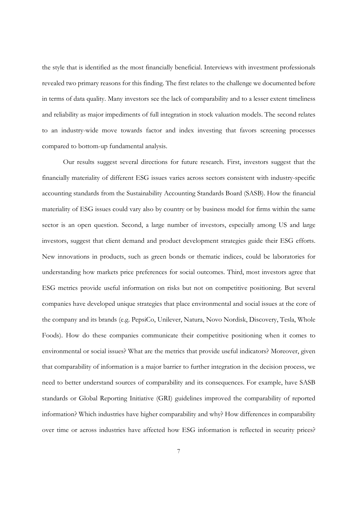the style that is identified as the most financially beneficial. Interviews with investment professionals revealed two primary reasons for this finding. The first relates to the challenge we documented before in terms of data quality. Many investors see the lack of comparability and to a lesser extent timeliness and reliability as major impediments of full integration in stock valuation models. The second relates to an industry-wide move towards factor and index investing that favors screening processes compared to bottom-up fundamental analysis.

Our results suggest several directions for future research. First, investors suggest that the financially materiality of different ESG issues varies across sectors consistent with industry-specific accounting standards from the Sustainability Accounting Standards Board (SASB). How the financial materiality of ESG issues could vary also by country or by business model for firms within the same sector is an open question. Second, a large number of investors, especially among US and large investors, suggest that client demand and product development strategies guide their ESG efforts. New innovations in products, such as green bonds or thematic indices, could be laboratories for understanding how markets price preferences for social outcomes. Third, most investors agree that ESG metrics provide useful information on risks but not on competitive positioning. But several companies have developed unique strategies that place environmental and social issues at the core of the company and its brands (e.g. PepsiCo, Unilever, Natura, Novo Nordisk, Discovery, Tesla, Whole Foods). How do these companies communicate their competitive positioning when it comes to environmental or social issues? What are the metrics that provide useful indicators? Moreover, given that comparability of information is a major barrier to further integration in the decision process, we need to better understand sources of comparability and its consequences. For example, have SASB standards or Global Reporting Initiative (GRI) guidelines improved the comparability of reported information? Which industries have higher comparability and why? How differences in comparability over time or across industries have affected how ESG information is reflected in security prices?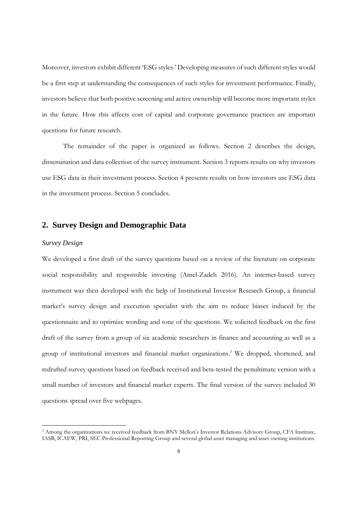Moreover, investors exhibit different 'ESG styles.' Developing measures of such different styles would be a first step at understanding the consequences of such styles for investment performance. Finally, investors believe that both positive screening and active ownership will become more important styles in the future. How this affects cost of capital and corporate governance practices are important questions for future research.

The remainder of the paper is organized as follows. Section 2 describes the design, dissemination and data collection of the survey instrument. Section 3 reports results on why investors use ESG data in their investment process. Section 4 presents results on how investors use ESG data in the investment process. Section 5 concludes.

#### **2. Survey Design and Demographic Data**

#### *Survey Design*

 $\overline{a}$ 

We developed a first draft of the survey questions based on a review of the literature on corporate social responsibility and responsible investing (Amel-Zadeh 2016). An internet-based survey instrument was then developed with the help of Institutional Investor Research Group, a financial market's survey design and execution specialist with the aim to reduce biases induced by the questionnaire and to optimize wording and tone of the questions. We solicited feedback on the first draft of the survey from a group of six academic researchers in finance and accounting as well as a group of institutional investors and financial market organizations.<sup>3</sup> We dropped, shortened, and redrafted survey questions based on feedback received and beta-tested the penultimate version with a small number of investors and financial market experts. The final version of the survey included 30 questions spread over five webpages.

<sup>3</sup> Among the organizations we received feedback from BNY Mellon's Investor Relations Advisory Group, CFA Institute, IASB, ICAEW, PRI, SEC Professional Reporting Group and several global asset managing and asset owning institutions.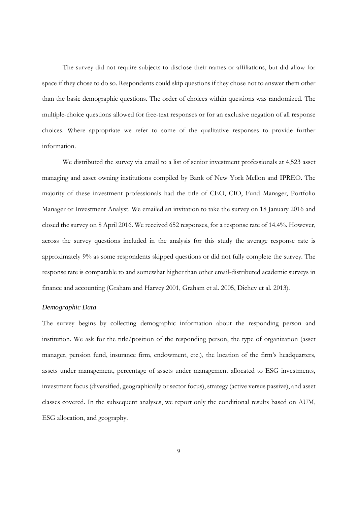The survey did not require subjects to disclose their names or affiliations, but did allow for space if they chose to do so. Respondents could skip questions if they chose not to answer them other than the basic demographic questions. The order of choices within questions was randomized. The multiple-choice questions allowed for free-text responses or for an exclusive negation of all response choices. Where appropriate we refer to some of the qualitative responses to provide further information.

We distributed the survey via email to a list of senior investment professionals at 4,523 asset managing and asset owning institutions compiled by Bank of New York Mellon and IPREO. The majority of these investment professionals had the title of CEO, CIO, Fund Manager, Portfolio Manager or Investment Analyst. We emailed an invitation to take the survey on 18 January 2016 and closed the survey on 8 April 2016. We received 652 responses, for a response rate of 14.4%. However, across the survey questions included in the analysis for this study the average response rate is approximately 9% as some respondents skipped questions or did not fully complete the survey. The response rate is comparable to and somewhat higher than other email-distributed academic surveys in finance and accounting (Graham and Harvey 2001, Graham et al. 2005, Dichev et al. 2013).

#### *Demographic Data*

The survey begins by collecting demographic information about the responding person and institution. We ask for the title/position of the responding person, the type of organization (asset manager, pension fund, insurance firm, endowment, etc.), the location of the firm's headquarters, assets under management, percentage of assets under management allocated to ESG investments, investment focus (diversified, geographically or sector focus), strategy (active versus passive), and asset classes covered. In the subsequent analyses, we report only the conditional results based on AUM, ESG allocation, and geography.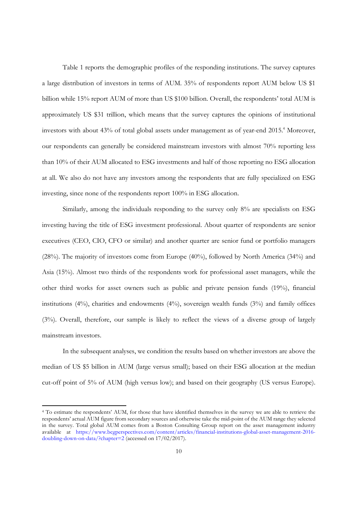Table 1 reports the demographic profiles of the responding institutions. The survey captures a large distribution of investors in terms of AUM. 35% of respondents report AUM below US \$1 billion while 15% report AUM of more than US \$100 billion. Overall, the respondents' total AUM is approximately US \$31 trillion, which means that the survey captures the opinions of institutional investors with about 43% of total global assets under management as of year-end 2015.<sup>4</sup> Moreover, our respondents can generally be considered mainstream investors with almost 70% reporting less than 10% of their AUM allocated to ESG investments and half of those reporting no ESG allocation at all. We also do not have any investors among the respondents that are fully specialized on ESG investing, since none of the respondents report 100% in ESG allocation.

Similarly, among the individuals responding to the survey only 8% are specialists on ESG investing having the title of ESG investment professional. About quarter of respondents are senior executives (CEO, CIO, CFO or similar) and another quarter are senior fund or portfolio managers (28%). The majority of investors come from Europe (40%), followed by North America (34%) and Asia (15%). Almost two thirds of the respondents work for professional asset managers, while the other third works for asset owners such as public and private pension funds (19%), financial institutions (4%), charities and endowments (4%), sovereign wealth funds (3%) and family offices (3%). Overall, therefore, our sample is likely to reflect the views of a diverse group of largely mainstream investors.

In the subsequent analyses, we condition the results based on whether investors are above the median of US \$5 billion in AUM (large versus small); based on their ESG allocation at the median cut-off point of 5% of AUM (high versus low); and based on their geography (US versus Europe).

 $\overline{a}$ 

<sup>4</sup> To estimate the respondents' AUM, for those that have identified themselves in the survey we are able to retrieve the respondents' actual AUM figure from secondary sources and otherwise take the mid-point of the AUM range they selected in the survey. Total global AUM comes from a Boston Consulting Group report on the asset management industry available at https://www.bcgperspectives.com/content/articles/financial-institutions-global-asset-management-2016 doubling-down-on-data/?chapter=2 (accessed on 17/02/2017).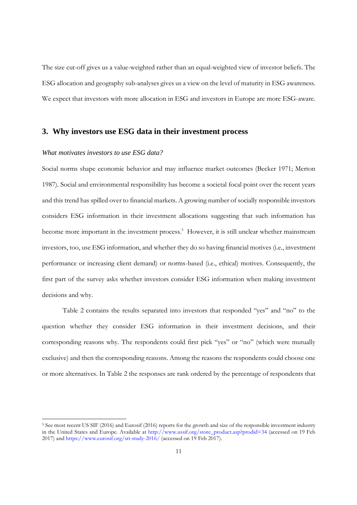The size cut-off gives us a value-weighted rather than an equal-weighted view of investor beliefs. The ESG allocation and geography sub-analyses gives us a view on the level of maturity in ESG awareness. We expect that investors with more allocation in ESG and investors in Europe are more ESG-aware.

#### **3. Why investors use ESG data in their investment process**

#### *What motivates investors to use ESG data?*

 $\overline{a}$ 

Social norms shape economic behavior and may influence market outcomes (Becker 1971; Merton 1987). Social and environmental responsibility has become a societal focal point over the recent years and this trend has spilled over to financial markets. A growing number of socially responsible investors considers ESG information in their investment allocations suggesting that such information has become more important in the investment process.<sup>5</sup> However, it is still unclear whether mainstream investors, too, use ESG information, and whether they do so having financial motives (i.e., investment performance or increasing client demand) or norms-based (i.e., ethical) motives. Consequently, the first part of the survey asks whether investors consider ESG information when making investment decisions and why.

Table 2 contains the results separated into investors that responded "yes" and "no" to the question whether they consider ESG information in their investment decisions, and their corresponding reasons why. The respondents could first pick "yes" or "no" (which were mutually exclusive) and then the corresponding reasons. Among the reasons the respondents could choose one or more alternatives. In Table 2 the responses are rank ordered by the percentage of respondents that

<sup>&</sup>lt;sup>5</sup> See most recent US SIF (2016) and Eurosif (2016) reports for the growth and size of the responsible investment industry in the United States and Europe. Available at http://www.ussif.org/store\_product.asp?prodid=34 (accessed on 19 Feb 2017) and https://www.eurosif.org/sri-study-2016/ (accessed on 19 Feb 2017).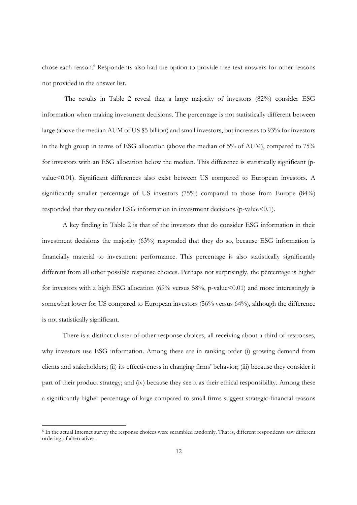chose each reason.<sup>6</sup> Respondents also had the option to provide free-text answers for other reasons not provided in the answer list.

 The results in Table 2 reveal that a large majority of investors (82%) consider ESG information when making investment decisions. The percentage is not statistically different between large (above the median AUM of US \$5 billion) and small investors, but increases to 93% for investors in the high group in terms of ESG allocation (above the median of 5% of AUM), compared to 75% for investors with an ESG allocation below the median. This difference is statistically significant (pvalue<0.01). Significant differences also exist between US compared to European investors. A significantly smaller percentage of US investors (75%) compared to those from Europe (84%) responded that they consider ESG information in investment decisions (p-value<0.1).

A key finding in Table 2 is that of the investors that do consider ESG information in their investment decisions the majority (63%) responded that they do so, because ESG information is financially material to investment performance. This percentage is also statistically significantly different from all other possible response choices. Perhaps not surprisingly, the percentage is higher for investors with a high ESG allocation (69% versus 58%, p-value<0.01) and more interestingly is somewhat lower for US compared to European investors (56% versus 64%), although the difference is not statistically significant.

There is a distinct cluster of other response choices, all receiving about a third of responses, why investors use ESG information. Among these are in ranking order (i) growing demand from clients and stakeholders; (ii) its effectiveness in changing firms' behavior; (iii) because they consider it part of their product strategy; and (iv) because they see it as their ethical responsibility. Among these a significantly higher percentage of large compared to small firms suggest strategic-financial reasons

 $\overline{a}$ 

<sup>6</sup> In the actual Internet survey the response choices were scrambled randomly. That is, different respondents saw different ordering of alternatives.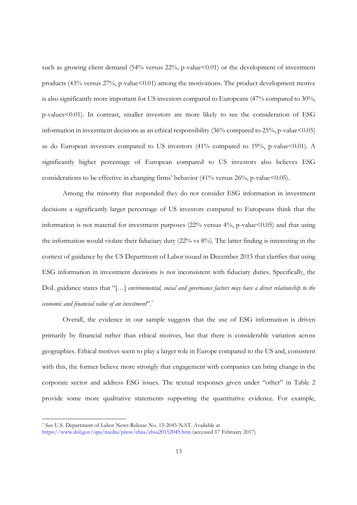such as growing client demand  $(54\%$  versus  $22\%$ , p-value  $(0.01)$  or the development of investment products  $(43\% \text{ versus } 27\% \text{, p-value} \leq 0.01)$  among the motivations. The product development motive is also significantly more important for US investors compared to Europeans (47% compared to 30%, p-values<0.01). In contrast, smaller investors are more likely to see the consideration of ESG information in investment decisions as an ethical responsibility  $(36\%$  compared to  $25\%$ , p-value <0.05) as do European investors compared to US investors  $(41\%$  compared to 19%, p-value <0.01). A significantly higher percentage of European compared to US investors also believes ESG considerations to be effective in changing firms' behavior  $(41\% \text{ versus } 26\%, \text{ p-value} < 0.05)$ .

Among the minority that responded they do not consider ESG information in investment decisions a significantly larger percentage of US investors compared to Europeans think that the information is not material for investment purposes  $(22\%$  versus  $4\%$ , p-value $\leq 0.05$ ) and that using the information would violate their fiduciary duty (22% vs 8%). The latter finding is interesting in the context of guidance by the US Department of Labor issued in December 2015 that clarifies that using ESG information in investment decisions is not inconsistent with fiduciary duties. Specifically, the DoL guidance states that "[…] *environmental, social and governance factors may have a direct relationship to the economic and financial value of an investment*".<sup>7</sup>

Overall, the evidence in our sample suggests that the use of ESG information is driven primarily by financial rather than ethical motives, but that there is considerable variation across geographies. Ethical motives seem to play a larger role in Europe compared to the US and, consistent with this, the former believe more strongly that engagement with companies can bring change in the corporate sector and address ESG issues. The textual responses given under "other" in Table 2 provide some more qualitative statements supporting the quantitative evidence. For example,

 $\overline{a}$ 

<sup>7</sup> See U.S. Department of Labor News Release No. 15-2045-NAT. Available at

https://www.dol.gov/opa/media/press/ebsa/ebsa20152045.htm (accessed 17 February 2017)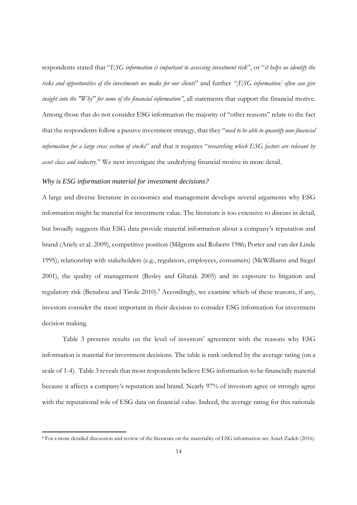respondents stated that "*ESG information is important to assessing investment risk*", or "*it helps us identify the risks and opportunities of the investments we make for our clients*" and further *"[ESG information] often can give insight into the "Why" for some of the financial information"*, all statements that support the financial motive. Among those that do not consider ESG information the majority of "other reasons" relate to the fact that the respondents follow a passive investment strategy, that they "*need to be able to quantify non-financial information for a large cross section of stocks*" and that it requires "*researching which ESG factors are relevant by asset class and industry.*" We next investigate the underlying financial motive in more detail.

#### *Why is ESG information material for investment decisions?*

 $\overline{a}$ 

A large and diverse literature in economics and management develops several arguments why ESG information might be material for investment value. The literature is too extensive to discuss in detail, but broadly suggests that ESG data provide material information about a company's reputation and brand (Ariely et al. 2009), competitive position (Milgrom and Roberts 1986; Porter and van der Linde 1995), relationship with stakeholders (e.g., regulators, employees, consumers) (McWilliams and Siegel 2001), the quality of management (Besley and Ghatak 2005) and its exposure to litigation and regulatory risk (Benabou and Tirole 2010).<sup>8</sup> Accordingly, we examine which of these reasons, if any, investors consider the most important in their decision to consider ESG information for investment decision making.

Table 3 presents results on the level of investors' agreement with the reasons why ESG information is material for investment decisions. The table is rank ordered by the average rating (on a scale of 1-4). Table 3 reveals that most respondents believe ESG information to be financially material because it affects a company's reputation and brand. Nearly 97% of investors agree or strongly agree with the reputational role of ESG data on financial value. Indeed, the average rating for this rationale

<sup>8</sup> For a more detailed discussion and review of the literature on the materiality of ESG information see Amel-Zadeh (2016).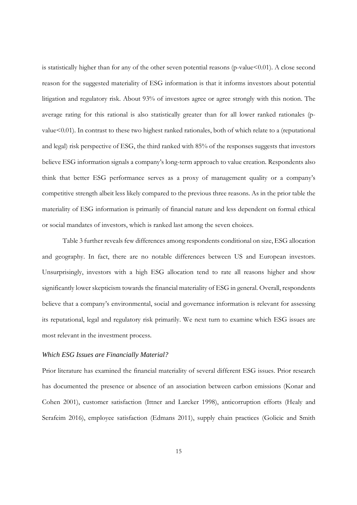is statistically higher than for any of the other seven potential reasons (p-value<0.01). A close second reason for the suggested materiality of ESG information is that it informs investors about potential litigation and regulatory risk. About 93% of investors agree or agree strongly with this notion. The average rating for this rational is also statistically greater than for all lower ranked rationales (pvalue $\leq 0.01$ ). In contrast to these two highest ranked rationales, both of which relate to a (reputational and legal) risk perspective of ESG, the third ranked with 85% of the responses suggests that investors believe ESG information signals a company's long-term approach to value creation. Respondents also think that better ESG performance serves as a proxy of management quality or a company's competitive strength albeit less likely compared to the previous three reasons. As in the prior table the materiality of ESG information is primarily of financial nature and less dependent on formal ethical or social mandates of investors, which is ranked last among the seven choices.

Table 3 further reveals few differences among respondents conditional on size, ESG allocation and geography. In fact, there are no notable differences between US and European investors. Unsurprisingly, investors with a high ESG allocation tend to rate all reasons higher and show significantly lower skepticism towards the financial materiality of ESG in general. Overall, respondents believe that a company's environmental, social and governance information is relevant for assessing its reputational, legal and regulatory risk primarily. We next turn to examine which ESG issues are most relevant in the investment process.

#### *Which ESG Issues are Financially Material?*

Prior literature has examined the financial materiality of several different ESG issues. Prior research has documented the presence or absence of an association between carbon emissions (Konar and Cohen 2001), customer satisfaction (Ittner and Larcker 1998), anticorruption efforts (Healy and Serafeim 2016), employee satisfaction (Edmans 2011), supply chain practices (Golicic and Smith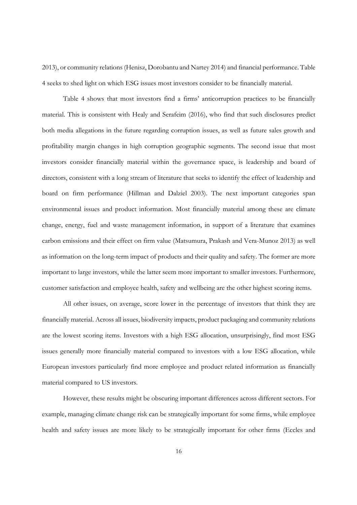2013), or community relations (Henisz, Dorobantu and Nartey 2014) and financial performance. Table 4 seeks to shed light on which ESG issues most investors consider to be financially material.

 Table 4 shows that most investors find a firms' anticorruption practices to be financially material. This is consistent with Healy and Serafeim (2016), who find that such disclosures predict both media allegations in the future regarding corruption issues, as well as future sales growth and profitability margin changes in high corruption geographic segments. The second issue that most investors consider financially material within the governance space, is leadership and board of directors, consistent with a long stream of literature that seeks to identify the effect of leadership and board on firm performance (Hillman and Dalziel 2003). The next important categories span environmental issues and product information. Most financially material among these are climate change, energy, fuel and waste management information, in support of a literature that examines carbon emissions and their effect on firm value (Matsumura, Prakash and Vera-Munoz 2013) as well as information on the long-term impact of products and their quality and safety. The former are more important to large investors, while the latter seem more important to smaller investors. Furthermore, customer satisfaction and employee health, safety and wellbeing are the other highest scoring items.

 All other issues, on average, score lower in the percentage of investors that think they are financially material. Across all issues, biodiversity impacts, product packaging and community relations are the lowest scoring items. Investors with a high ESG allocation, unsurprisingly, find most ESG issues generally more financially material compared to investors with a low ESG allocation, while European investors particularly find more employee and product related information as financially material compared to US investors.

 However, these results might be obscuring important differences across different sectors. For example, managing climate change risk can be strategically important for some firms, while employee health and safety issues are more likely to be strategically important for other firms (Eccles and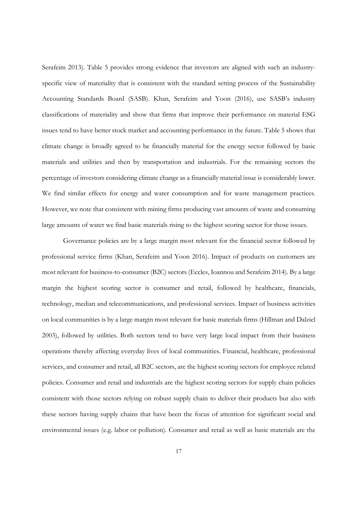Serafeim 2013). Table 5 provides strong evidence that investors are aligned with such an industryspecific view of materiality that is consistent with the standard setting process of the Sustainability Accounting Standards Board (SASB). Khan, Serafeim and Yoon (2016), use SASB's industry classifications of materiality and show that firms that improve their performance on material ESG issues tend to have better stock market and accounting performance in the future. Table 5 shows that climate change is broadly agreed to be financially material for the energy sector followed by basic materials and utilities and then by transportation and industrials. For the remaining sectors the percentage of investors considering climate change as a financially material issue is considerably lower. We find similar effects for energy and water consumption and for waste management practices. However, we note that consistent with mining firms producing vast amounts of waste and consuming large amounts of water we find basic materials rising to the highest scoring sector for those issues.

 Governance policies are by a large margin most relevant for the financial sector followed by professional service firms (Khan, Serafeim and Yoon 2016). Impact of products on customers are most relevant for business-to-consumer (B2C) sectors (Eccles, Ioannou and Serafeim 2014). By a large margin the highest scoring sector is consumer and retail, followed by healthcare, financials, technology, median and telecommunications, and professional services. Impact of business activities on local communities is by a large margin most relevant for basic materials firms (Hillman and Dalziel 2003), followed by utilities. Both sectors tend to have very large local impact from their business operations thereby affecting everyday lives of local communities. Financial, healthcare, professional services, and consumer and retail, all B2C sectors, are the highest scoring sectors for employee related policies. Consumer and retail and industrials are the highest scoring sectors for supply chain policies consistent with those sectors relying on robust supply chain to deliver their products but also with these sectors having supply chains that have been the focus of attention for significant social and environmental issues (e.g. labor or pollution). Consumer and retail as well as basic materials are the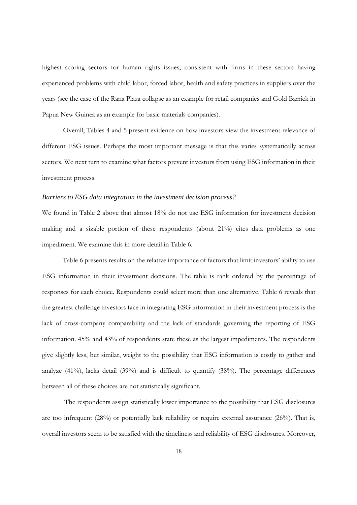highest scoring sectors for human rights issues, consistent with firms in these sectors having experienced problems with child labor, forced labor, health and safety practices in suppliers over the years (see the case of the Rana Plaza collapse as an example for retail companies and Gold Barrick in Papua New Guinea as an example for basic materials companies).

Overall, Tables 4 and 5 present evidence on how investors view the investment relevance of different ESG issues. Perhaps the most important message is that this varies systematically across sectors. We next turn to examine what factors prevent investors from using ESG information in their investment process.

#### *Barriers to ESG data integration in the investment decision process?*

We found in Table 2 above that almost 18% do not use ESG information for investment decision making and a sizable portion of these respondents (about 21%) cites data problems as one impediment. We examine this in more detail in Table 6.

Table 6 presents results on the relative importance of factors that limit investors' ability to use ESG information in their investment decisions. The table is rank ordered by the percentage of responses for each choice. Respondents could select more than one alternative. Table 6 reveals that the greatest challenge investors face in integrating ESG information in their investment process is the lack of cross-company comparability and the lack of standards governing the reporting of ESG information. 45% and 43% of respondents state these as the largest impediments. The respondents give slightly less, but similar, weight to the possibility that ESG information is costly to gather and analyze (41%), lacks detail (39%) and is difficult to quantify (38%). The percentage differences between all of these choices are not statistically significant.

 The respondents assign statistically lower importance to the possibility that ESG disclosures are too infrequent (28%) or potentially lack reliability or require external assurance (26%). That is, overall investors seem to be satisfied with the timeliness and reliability of ESG disclosures. Moreover,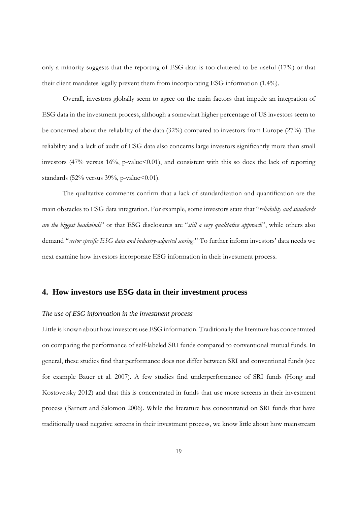only a minority suggests that the reporting of ESG data is too cluttered to be useful (17%) or that their client mandates legally prevent them from incorporating ESG information (1.4%).

Overall, investors globally seem to agree on the main factors that impede an integration of ESG data in the investment process, although a somewhat higher percentage of US investors seem to be concerned about the reliability of the data (32%) compared to investors from Europe (27%). The reliability and a lack of audit of ESG data also concerns large investors significantly more than small investors (47% versus 16%, p-value<0.01), and consistent with this so does the lack of reporting standards (52% versus 39%, p-value  $< 0.01$ ).

The qualitative comments confirm that a lack of standardization and quantification are the main obstacles to ESG data integration. For example, some investors state that "*reliability and standards are the biggest headwinds*" or that ESG disclosures are "*still a very qualitative approach*", while others also demand "*sector specific ESG data and industry-adjusted scoring*." To further inform investors' data needs we next examine how investors incorporate ESG information in their investment process.

### **4. How investors use ESG data in their investment process**

#### *The use of ESG information in the investment process*

Little is known about how investors use ESG information. Traditionally the literature has concentrated on comparing the performance of self-labeled SRI funds compared to conventional mutual funds. In general, these studies find that performance does not differ between SRI and conventional funds (see for example Bauer et al. 2007). A few studies find underperformance of SRI funds (Hong and Kostovetsky 2012) and that this is concentrated in funds that use more screens in their investment process (Barnett and Salomon 2006). While the literature has concentrated on SRI funds that have traditionally used negative screens in their investment process, we know little about how mainstream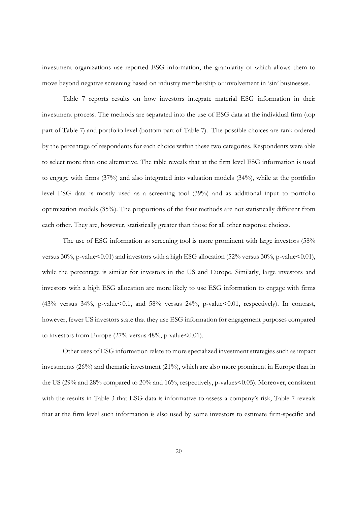investment organizations use reported ESG information, the granularity of which allows them to move beyond negative screening based on industry membership or involvement in 'sin' businesses.

Table 7 reports results on how investors integrate material ESG information in their investment process. The methods are separated into the use of ESG data at the individual firm (top part of Table 7) and portfolio level (bottom part of Table 7). The possible choices are rank ordered by the percentage of respondents for each choice within these two categories. Respondents were able to select more than one alternative. The table reveals that at the firm level ESG information is used to engage with firms (37%) and also integrated into valuation models (34%), while at the portfolio level ESG data is mostly used as a screening tool (39%) and as additional input to portfolio optimization models (35%). The proportions of the four methods are not statistically different from each other. They are, however, statistically greater than those for all other response choices.

The use of ESG information as screening tool is more prominent with large investors (58% versus  $30\%$ , p-value $\leq 0.01$ ) and investors with a high ESG allocation (52% versus 30%, p-value $\leq 0.01$ ), while the percentage is similar for investors in the US and Europe. Similarly, large investors and investors with a high ESG allocation are more likely to use ESG information to engage with firms (43% versus 34%, p-value<0.1, and 58% versus 24%, p-value<0.01, respectively). In contrast, however, fewer US investors state that they use ESG information for engagement purposes compared to investors from Europe  $(27\%$  versus 48%, p-value < 0.01).

Other uses of ESG information relate to more specialized investment strategies such as impact investments (26%) and thematic investment (21%), which are also more prominent in Europe than in the US (29% and 28% compared to 20% and 16%, respectively, p-values<0.05). Moreover, consistent with the results in Table 3 that ESG data is informative to assess a company's risk, Table 7 reveals that at the firm level such information is also used by some investors to estimate firm-specific and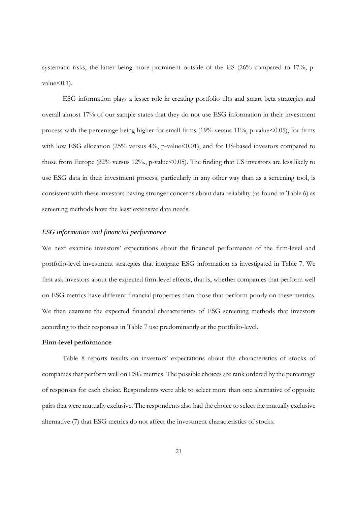systematic risks, the latter being more prominent outside of the US (26% compared to 17%, pvalue $\leq 0.1$ ).

ESG information plays a lesser role in creating portfolio tilts and smart beta strategies and overall almost 17% of our sample states that they do not use ESG information in their investment process with the percentage being higher for small firms  $(19\%$  versus  $11\%$ , p-value $<0.05$ ), for firms with low ESG allocation (25% versus 4%, p-value<0.01), and for US-based investors compared to those from Europe (22% versus 12%, p-value<0.05). The finding that US investors are less likely to use ESG data in their investment process, particularly in any other way than as a screening tool, is consistent with these investors having stronger concerns about data reliability (as found in Table 6) as screening methods have the least extensive data needs.

#### *ESG information and financial performance*

We next examine investors' expectations about the financial performance of the firm-level and portfolio-level investment strategies that integrate ESG information as investigated in Table 7. We first ask investors about the expected firm-level effects, that is, whether companies that perform well on ESG metrics have different financial properties than those that perform poorly on these metrics. We then examine the expected financial characteristics of ESG screening methods that investors according to their responses in Table 7 use predominantly at the portfolio-level.

#### **Firm-level performance**

Table 8 reports results on investors' expectations about the characteristics of stocks of companies that perform well on ESG metrics. The possible choices are rank ordered by the percentage of responses for each choice. Respondents were able to select more than one alternative of opposite pairs that were mutually exclusive. The respondents also had the choice to select the mutually exclusive alternative (7) that ESG metrics do not affect the investment characteristics of stocks.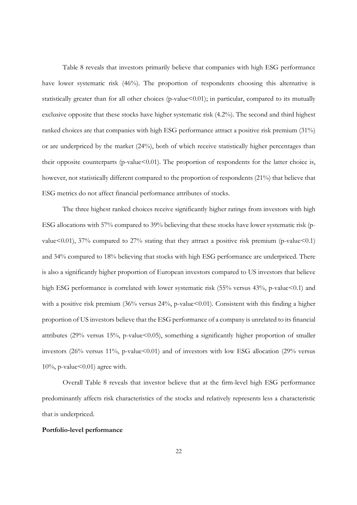Table 8 reveals that investors primarily believe that companies with high ESG performance have lower systematic risk (46%). The proportion of respondents choosing this alternative is statistically greater than for all other choices (p-value $\leq 0.01$ ); in particular, compared to its mutually exclusive opposite that these stocks have higher systematic risk (4.2%). The second and third highest ranked choices are that companies with high ESG performance attract a positive risk premium (31%) or are underpriced by the market (24%), both of which receive statistically higher percentages than their opposite counterparts (p-value<0.01). The proportion of respondents for the latter choice is, however, not statistically different compared to the proportion of respondents (21%) that believe that ESG metrics do not affect financial performance attributes of stocks.

The three highest ranked choices receive significantly higher ratings from investors with high ESG allocations with 57% compared to 39% believing that these stocks have lower systematic risk (pvalue  $(0.01)$ , 37% compared to 27% stating that they attract a positive risk premium (p-value  $(0.1)$ ) and 34% compared to 18% believing that stocks with high ESG performance are underpriced. There is also a significantly higher proportion of European investors compared to US investors that believe high ESG performance is correlated with lower systematic risk (55% versus 43%, p-value<0.1) and with a positive risk premium (36% versus 24%, p-value<0.01). Consistent with this finding a higher proportion of US investors believe that the ESG performance of a company is unrelated to its financial attributes (29% versus 15%, p-value  $0.05$ ), something a significantly higher proportion of smaller investors  $(26\%$  versus  $11\%$ , p-value $\leq 0.01$ ) and of investors with low ESG allocation  $(29\%$  versus  $10\%$ , p-value < 0.01) agree with.

Overall Table 8 reveals that investor believe that at the firm-level high ESG performance predominantly affects risk characteristics of the stocks and relatively represents less a characteristic that is underpriced.

#### **Portfolio-level performance**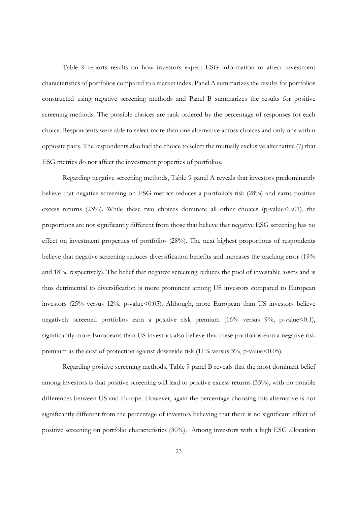Table 9 reports results on how investors expect ESG information to affect investment characteristics of portfolios compared to a market index. Panel A summarizes the results for portfolios constructed using negative screening methods and Panel B summarizes the results for positive screening methods. The possible choices are rank ordered by the percentage of responses for each choice. Respondents were able to select more than one alternative across choices and only one within opposite pairs. The respondents also had the choice to select the mutually exclusive alternative (7) that ESG metrics do not affect the investment properties of portfolios.

Regarding negative screening methods, Table 9 panel A reveals that investors predominantly believe that negative screening on ESG metrics reduces a portfolio's risk (28%) and earns positive excess returns  $(23%)$ . While these two choices dominate all other choices (p-value <0.01), the proportions are not significantly different from those that believe that negative ESG screening has no effect on investment properties of portfolios (28%). The next highest proportions of respondents believe that negative screening reduces diversification benefits and increases the tracking error (19% and 18%, respectively). The belief that negative screening reduces the pool of investable assets and is thus detrimental to diversification is more prominent among US investors compared to European investors  $(25\% \text{ versus } 12\% \text{, p-value} < 0.05)$ . Although, more European than US investors believe negatively screened portfolios earn a positive risk premium (16% versus 9%, p-value<0.1), significantly more Europeans than US investors also believe that these portfolios earn a negative risk premium as the cost of protection against downside risk  $(11\% \text{ versus } 3\% \text{, p-value} \leq 0.05)$ .

Regarding positive screening methods, Table 9 panel B reveals that the most dominant belief among investors is that positive screening will lead to positive excess returns (35%), with no notable differences between US and Europe. However, again the percentage choosing this alternative is not significantly different from the percentage of investors believing that there is no significant effect of positive screening on portfolio characteristics (30%). Among investors with a high ESG allocation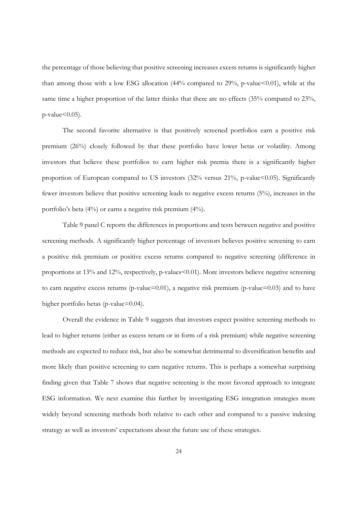the percentage of those believing that positive screening increases excess returns is significantly higher than among those with a low ESG allocation  $(44%$  compared to 29%, p-value < 0.01), while at the same time a higher proportion of the latter thinks that there are no effects (35% compared to 23%,  $p$ -value $<0.05$ ).

The second favorite alternative is that positively screened portfolios earn a positive risk premium (26%) closely followed by that these portfolio have lower betas or volatility. Among investors that believe these portfolios to earn higher risk premia there is a significantly higher proportion of European compared to US investors  $(32% \text{ versus } 21\% , p-value<0.05)$ . Significantly fewer investors believe that positive screening leads to negative excess returns (5%), increases in the portfolio's beta (4%) or earns a negative risk premium (4%).

Table 9 panel C reports the differences in proportions and tests between negative and positive screening methods. A significantly higher percentage of investors believes positive screening to earn a positive risk premium or positive excess returns compared to negative screening (difference in proportions at 13% and 12%, respectively, p-values<0.01). More investors believe negative screening to earn negative excess returns (p-value=0.01), a negative risk premium (p-value=0.03) and to have higher portfolio betas (p-value=0.04).

Overall the evidence in Table 9 suggests that investors expect positive screening methods to lead to higher returns (either as excess return or in form of a risk premium) while negative screening methods are expected to reduce risk, but also be somewhat detrimental to diversification benefits and more likely than positive screening to earn negative returns. This is perhaps a somewhat surprising finding given that Table 7 shows that negative screening is the most favored approach to integrate ESG information. We next examine this further by investigating ESG integration strategies more widely beyond screening methods both relative to each other and compared to a passive indexing strategy as well as investors' expectations about the future use of these strategies.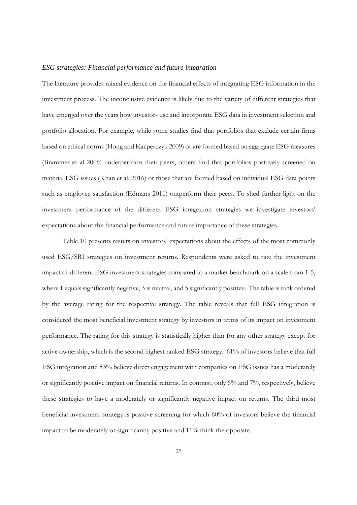#### *ESG strategies: Financial performance and future integration*

The literature provides mixed evidence on the financial effects of integrating ESG information in the investment process. The inconclusive evidence is likely due to the variety of different strategies that have emerged over the years how investors use and incorporate ESG data in investment selection and portfolio allocation. For example, while some studies find that portfolios that exclude certain firms based on ethical norms (Hong and Kacperczyk 2009) or are formed based on aggregate ESG measures (Brammer et al 2006) underperform their peers, others find that portfolios positively screened on material ESG issues (Khan et al. 2016) or those that are formed based on individual ESG data points such as employee satisfaction (Edmans 2011) outperform their peers. To shed further light on the investment performance of the different ESG integration strategies we investigate investors' expectations about the financial performance and future importance of these strategies.

Table 10 presents results on investors' expectations about the effects of the most commonly used ESG/SRI strategies on investment returns. Respondents were asked to rate the investment impact of different ESG investment strategies compared to a market benchmark on a scale from 1-5, where 1 equals significantly negative, 3 is neutral, and 5 significantly positive. The table is rank ordered by the average rating for the respective strategy. The table reveals that full ESG integration is considered the most beneficial investment strategy by investors in terms of its impact on investment performance. The rating for this strategy is statistically higher than for any other strategy except for active ownership, which is the second highest ranked ESG strategy. 61% of investors believe that full ESG integration and 53% believe direct engagement with companies on ESG issues has a moderately or significantly positive impact on financial returns. In contrast, only 6% and 7%, respectively, believe these strategies to have a moderately or significantly negative impact on returns. The third most beneficial investment strategy is positive screening for which 60% of investors believe the financial impact to be moderately or significantly positive and 11% think the opposite.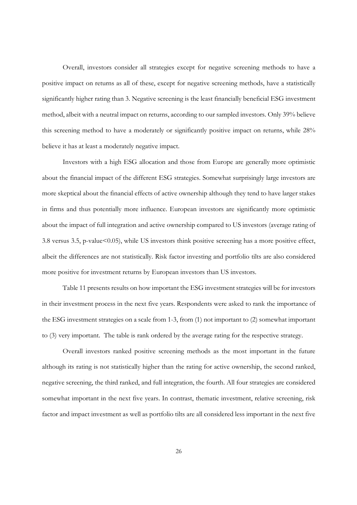Overall, investors consider all strategies except for negative screening methods to have a positive impact on returns as all of these, except for negative screening methods, have a statistically significantly higher rating than 3. Negative screening is the least financially beneficial ESG investment method, albeit with a neutral impact on returns, according to our sampled investors. Only 39% believe this screening method to have a moderately or significantly positive impact on returns, while 28% believe it has at least a moderately negative impact.

Investors with a high ESG allocation and those from Europe are generally more optimistic about the financial impact of the different ESG strategies. Somewhat surprisingly large investors are more skeptical about the financial effects of active ownership although they tend to have larger stakes in firms and thus potentially more influence. European investors are significantly more optimistic about the impact of full integration and active ownership compared to US investors (average rating of 3.8 versus 3.5, p-value<0.05), while US investors think positive screening has a more positive effect, albeit the differences are not statistically. Risk factor investing and portfolio tilts are also considered more positive for investment returns by European investors than US investors.

Table 11 presents results on how important the ESG investment strategies will be for investors in their investment process in the next five years. Respondents were asked to rank the importance of the ESG investment strategies on a scale from 1-3, from (1) not important to (2) somewhat important to (3) very important. The table is rank ordered by the average rating for the respective strategy.

Overall investors ranked positive screening methods as the most important in the future although its rating is not statistically higher than the rating for active ownership, the second ranked, negative screening, the third ranked, and full integration, the fourth. All four strategies are considered somewhat important in the next five years. In contrast, thematic investment, relative screening, risk factor and impact investment as well as portfolio tilts are all considered less important in the next five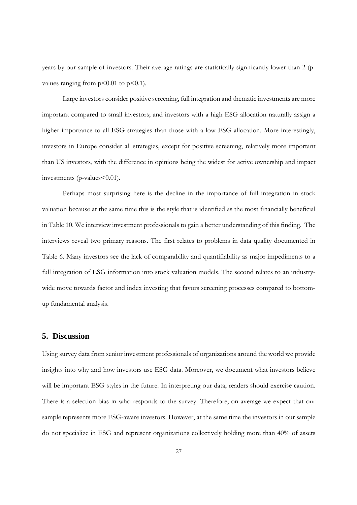years by our sample of investors. Their average ratings are statistically significantly lower than 2 (pvalues ranging from  $p<0.01$  to  $p<0.1$ ).

Large investors consider positive screening, full integration and thematic investments are more important compared to small investors; and investors with a high ESG allocation naturally assign a higher importance to all ESG strategies than those with a low ESG allocation. More interestingly, investors in Europe consider all strategies, except for positive screening, relatively more important than US investors, with the difference in opinions being the widest for active ownership and impact investments ( $p$ -values  $< 0.01$ ).

Perhaps most surprising here is the decline in the importance of full integration in stock valuation because at the same time this is the style that is identified as the most financially beneficial in Table 10. We interview investment professionals to gain a better understanding of this finding. The interviews reveal two primary reasons. The first relates to problems in data quality documented in Table 6. Many investors see the lack of comparability and quantifiability as major impediments to a full integration of ESG information into stock valuation models. The second relates to an industrywide move towards factor and index investing that favors screening processes compared to bottomup fundamental analysis.

#### **5. Discussion**

Using survey data from senior investment professionals of organizations around the world we provide insights into why and how investors use ESG data. Moreover, we document what investors believe will be important ESG styles in the future. In interpreting our data, readers should exercise caution. There is a selection bias in who responds to the survey. Therefore, on average we expect that our sample represents more ESG-aware investors. However, at the same time the investors in our sample do not specialize in ESG and represent organizations collectively holding more than 40% of assets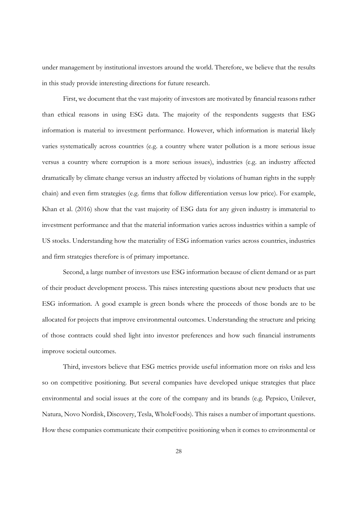under management by institutional investors around the world. Therefore, we believe that the results in this study provide interesting directions for future research.

 First, we document that the vast majority of investors are motivated by financial reasons rather than ethical reasons in using ESG data. The majority of the respondents suggests that ESG information is material to investment performance. However, which information is material likely varies systematically across countries (e.g. a country where water pollution is a more serious issue versus a country where corruption is a more serious issues), industries (e.g. an industry affected dramatically by climate change versus an industry affected by violations of human rights in the supply chain) and even firm strategies (e.g. firms that follow differentiation versus low price). For example, Khan et al. (2016) show that the vast majority of ESG data for any given industry is immaterial to investment performance and that the material information varies across industries within a sample of US stocks. Understanding how the materiality of ESG information varies across countries, industries and firm strategies therefore is of primary importance.

 Second, a large number of investors use ESG information because of client demand or as part of their product development process. This raises interesting questions about new products that use ESG information. A good example is green bonds where the proceeds of those bonds are to be allocated for projects that improve environmental outcomes. Understanding the structure and pricing of those contracts could shed light into investor preferences and how such financial instruments improve societal outcomes.

Third, investors believe that ESG metrics provide useful information more on risks and less so on competitive positioning. But several companies have developed unique strategies that place environmental and social issues at the core of the company and its brands (e.g. Pepsico, Unilever, Natura, Novo Nordisk, Discovery, Tesla, WholeFoods). This raises a number of important questions. How these companies communicate their competitive positioning when it comes to environmental or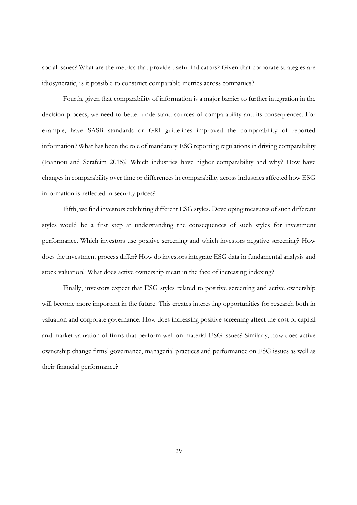social issues? What are the metrics that provide useful indicators? Given that corporate strategies are idiosyncratic, is it possible to construct comparable metrics across companies?

Fourth, given that comparability of information is a major barrier to further integration in the decision process, we need to better understand sources of comparability and its consequences. For example, have SASB standards or GRI guidelines improved the comparability of reported information? What has been the role of mandatory ESG reporting regulations in driving comparability (Ioannou and Serafeim 2015)? Which industries have higher comparability and why? How have changes in comparability over time or differences in comparability across industries affected how ESG information is reflected in security prices?

Fifth, we find investors exhibiting different ESG styles. Developing measures of such different styles would be a first step at understanding the consequences of such styles for investment performance. Which investors use positive screening and which investors negative screening? How does the investment process differ? How do investors integrate ESG data in fundamental analysis and stock valuation? What does active ownership mean in the face of increasing indexing?

Finally, investors expect that ESG styles related to positive screening and active ownership will become more important in the future. This creates interesting opportunities for research both in valuation and corporate governance. How does increasing positive screening affect the cost of capital and market valuation of firms that perform well on material ESG issues? Similarly, how does active ownership change firms' governance, managerial practices and performance on ESG issues as well as their financial performance?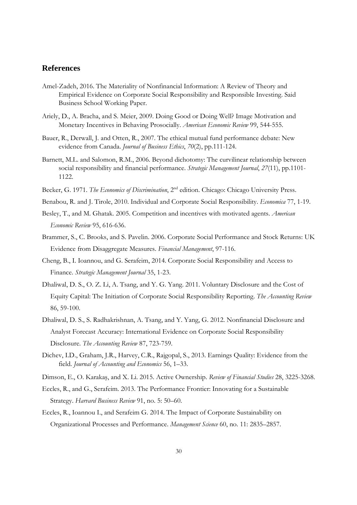#### **References**

- Amel-Zadeh, 2016. The Materiality of Nonfinancial Information: A Review of Theory and Empirical Evidence on Corporate Social Responsibility and Responsible Investing. Said Business School Working Paper.
- Ariely, D., A. Bracha, and S. Meier, 2009. Doing Good or Doing Well? Image Motivation and Monetary Incentives in Behaving Prosocially. *American Economic Review* 99, 544-555.
- Bauer, R., Derwall, J. and Otten, R., 2007. The ethical mutual fund performance debate: New evidence from Canada. *Journal of Business Ethics*, *70*(2), pp.111-124.
- Barnett, M.L. and Salomon, R.M., 2006. Beyond dichotomy: The curvilinear relationship between social responsibility and financial performance. *Strategic Management Journal*, *27*(11), pp.1101- 1122.
- Becker, G. 1971. *The Economics of Discrimination*, 2nd edition. Chicago: Chicago University Press.
- Benabou, R. and J. Tirole, 2010. Individual and Corporate Social Responsibility. *Economica* 77, 1-19.
- Besley, T., and M. Ghatak. 2005. Competition and incentives with motivated agents. *American Economic Review* 95, 616-636.
- Brammer, S., C. Brooks, and S. Pavelin. 2006. Corporate Social Performance and Stock Returns: UK Evidence from Disaggregate Measures. *Financial Management*, 97-116.
- Cheng, B., I. Ioannou, and G. Serafeim, 2014. Corporate Social Responsibility and Access to Finance. *Strategic Management Journal* 35, 1-23.
- Dhaliwal, D. S., O. Z. Li, A. Tsang, and Y. G. Yang. 2011. Voluntary Disclosure and the Cost of Equity Capital: The Initiation of Corporate Social Responsibility Reporting. *The Accounting Review* 86, 59-100.
- Dhaliwal, D. S., S. Radhakrishnan, A. Tsang, and Y. Yang, G. 2012. Nonfinancial Disclosure and Analyst Forecast Accuracy: International Evidence on Corporate Social Responsibility Disclosure. *The Accounting Review* 87, 723-759.
- Dichev, I.D., Graham, J.R., Harvey, C.R., Rajgopal, S., 2013. Earnings Quality: Evidence from the field. *Journal of Accounting and Economics* 56, 1–33.
- Dimson, E., O. Karakaş, and X. Li. 2015. Active Ownership. *Review of Financial Studies* 28, 3225-3268.
- Eccles, R., and G., Serafeim. 2013. The Performance Frontier: Innovating for a Sustainable Strategy. *Harvard Business Review* 91, no. 5: 50–60.
- Eccles, R., Ioannou I., and Serafeim G. 2014. The Impact of Corporate Sustainability on Organizational Processes and Performance. *Management Science* 60, no. 11: 2835–2857.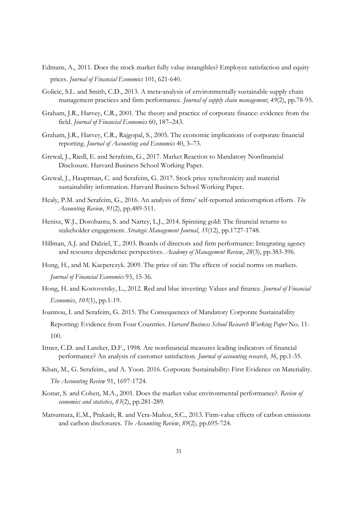- Edmans, A., 2011. Does the stock market fully value intangibles? Employee satisfaction and equity prices. *Journal of Financial Economics* 101, 621-640.
- Golicic, S.L. and Smith, C.D., 2013. A meta-analysis of environmentally sustainable supply chain management practices and firm performance. *Journal of supply chain management*, *49*(2), pp.78-95.
- Graham, J.R., Harvey, C.R., 2001. The theory and practice of corporate finance: evidence from the field. *Journal of Financial Economics* 60, 187–243.
- Graham, J.R., Harvey, C.R., Rajgopal, S., 2005. The economic implications of corporate financial reporting. *Journal of Accounting and Economics* 40, 3–73.
- Grewal, J., Riedl, E. and Serafeim, G., 2017. Market Reaction to Mandatory Nonfinancial Disclosure. Harvard Business School Working Paper.
- Grewal, J., Hauptman, C. and Serafeim, G. 2017. Stock price synchronicity and material sustainability information. Harvard Business School Working Paper.
- Healy, P.M. and Serafeim, G., 2016. An analysis of firms' self-reported anticorruption efforts. *The Accounting Review*, *91*(2), pp.489-511.
- Henisz, W.J., Dorobantu, S. and Nartey, L.J., 2014. Spinning gold: The financial returns to stakeholder engagement. *Strategic Management Journal*, *35*(12), pp.1727-1748.
- Hillman, A.J. and Dalziel, T., 2003. Boards of directors and firm performance: Integrating agency and resource dependence perspectives. *Academy of Management Review*, *28*(3), pp.383-396.
- Hong, H., and M. Kacperczyk. 2009. The price of sin: The effects of social norms on markets. *Journal of Financial Economics* 93, 15-36.
- Hong, H. and Kostovetsky, L., 2012. Red and blue investing: Values and finance. *Journal of Financial Economics*, *103*(1), pp.1-19.
- Ioannou, I. and Serafeim, G. 2015. The Consequences of Mandatory Corporate Sustainability Reporting: Evidence from Four Countries. *Harvard Business School Research Working Paper* No. 11- 100.
- Ittner, C.D. and Larcker, D.F., 1998. Are nonfinancial measures leading indicators of financial performance? An analysis of customer satisfaction. *Journal of accounting research*, *36*, pp.1-35.
- Khan, M., G. Serafeim., and A. Yoon. 2016. Corporate Sustainability: First Evidence on Materiality. *The Accounting Review* 91, 1697-1724.
- Konar, S. and Cohen, M.A., 2001. Does the market value environmental performance?. *Review of economics and statistics*, *83*(2), pp.281-289.
- Matsumura, E.M., Prakash, R. and Vera-Muñoz, S.C., 2013. Firm-value effects of carbon emissions and carbon disclosures. *The Accounting Review*, *89*(2), pp.695-724.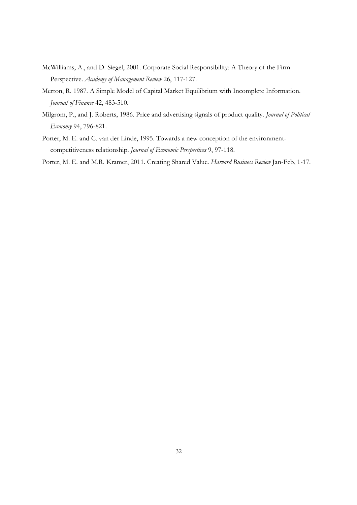- McWilliams, A., and D. Siegel, 2001. Corporate Social Responsibility: A Theory of the Firm Perspective. *Academy of Management Review* 26, 117-127.
- Merton, R. 1987. A Simple Model of Capital Market Equilibrium with Incomplete Information. *Journal of Finance* 42, 483-510.
- Milgrom, P., and J. Roberts, 1986. Price and advertising signals of product quality. *Journal of Political Economy* 94, 796-821.
- Porter, M. E. and C. van der Linde, 1995. Towards a new conception of the environmentcompetitiveness relationship. *Journal of Economic Perspectives* 9, 97-118.
- Porter, M. E. and M.R. Kramer, 2011. Creating Shared Value. *Harvard Business Review* Jan-Feb, 1-17.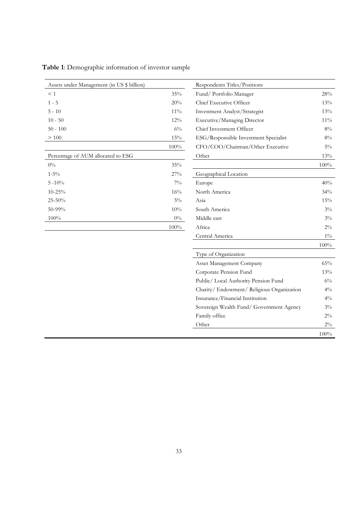| Assets under Management (in US \$ billion) |        | Respondents Titles/Positions  |
|--------------------------------------------|--------|-------------------------------|
| $\leq 1$                                   | 35%    | Fund/Portfolio Manager        |
| $1 - 5$                                    | 20%    | Chief Executive Officer       |
| $5 - 10$                                   | $11\%$ | Investment Analyst/Strategist |
| $10 - 50$                                  | $12\%$ | Executive/Managing Director   |
| $50 - 100$                                 | $6\%$  | Chief Investment Officer      |
| >100                                       | 15%    | ESG/Responsible Investment    |
|                                            | 100%   | CFO/COO/Chairman/Other        |
| Percentage of AUM allocated to ESG         |        | Other                         |
| $0\%$                                      | 35%    |                               |
| $1 - 5\%$                                  | 27%    | Geographical Location         |
| $5 - 10\%$                                 | $7\%$  | Europe                        |
| $10 - 25%$                                 | 16%    | North America                 |
| $25 - 50%$                                 | $5\%$  | Asia                          |
| $50 - 99\%$                                | 10%    | South America                 |
| $100\%$                                    | $0\%$  | Middle east                   |
|                                            | 100%   | Africa                        |

| Assets under Management (in US \$ billion) |         | Respondents Titles/Positions               |         |
|--------------------------------------------|---------|--------------------------------------------|---------|
| $\leq 1$                                   | 35%     | Fund/Portfolio Manager                     | 28%     |
| $1 - 5$                                    | 20%     | Chief Executive Officer                    | 13%     |
| $5 - 10$                                   | $11\%$  | Investment Analyst/Strategist              | 13%     |
| $10 - 50$                                  | 12%     | Executive/Managing Director                | $11\%$  |
| $50 - 100$                                 | $6\%$   | Chief Investment Officer                   | $8\%$   |
| >100                                       | $15\%$  | ESG/Responsible Investment Specialist      | $8\%$   |
|                                            | $100\%$ | CFO/COO/Chairman/Other Executive           | $5\%$   |
| Percentage of AUM allocated to ESG         |         | Other                                      | 13%     |
| $0\%$                                      | 35%     |                                            | $100\%$ |
| $1 - 5\%$                                  | 27%     | Geographical Location                      |         |
| $5 - 10\%$                                 | $7\%$   | Europe                                     | 40%     |
| $10 - 25\%$                                | 16%     | North America                              | 34%     |
| $25 - 50%$                                 | $5\%$   | Asia                                       | 15%     |
| 50-99%                                     | 10%     | South America                              | $3\%$   |
| 100%                                       | $0\%$   | Middle east                                | $3\%$   |
|                                            | $100\%$ | Africa                                     | $2\%$   |
|                                            |         | Central America                            | $1\%$   |
|                                            |         |                                            | $100\%$ |
|                                            |         | Type of Organization                       |         |
|                                            |         | Asset Management Company                   | 65%     |
|                                            |         | Corporate Pension Fund                     | 13%     |
|                                            |         | Public/ Local Authority Pension Fund       | $6\%$   |
|                                            |         | Charity/ Endowment/ Religious Organization | $4\%$   |
|                                            |         | Insurance/Financial Institution            | $4\%$   |
|                                            |         | Sovereign Wealth Fund/ Government Agency   | $3\%$   |
|                                            |         | Family office                              | $2\%$   |
|                                            |         | Other                                      | $2\%$   |
|                                            |         |                                            | $100\%$ |

**Table 1**: Demographic information of investor sample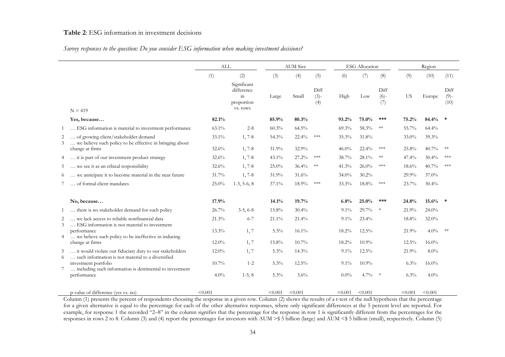#### **Table 2**: ESG information in investment decisions

#### *Survey responses to the question: Do you consider ESG information when making investment decisions?*

|    |                                                                                                                                      | ALL      |                                                               |         | <b>AUM</b> Size |                       |          | <b>ESG</b> Allocation |                       |           | Region   |                         |
|----|--------------------------------------------------------------------------------------------------------------------------------------|----------|---------------------------------------------------------------|---------|-----------------|-----------------------|----------|-----------------------|-----------------------|-----------|----------|-------------------------|
|    |                                                                                                                                      | (1)      | (2)                                                           | (3)     | (4)             | (5)                   | (6)      | (7)                   | (8)                   | (9)       | (10)     | (11)                    |
|    | $N = 419$                                                                                                                            |          | Significant<br>difference<br>$\sin$<br>proportion<br>vs. rows | Large   | Small           | Diff<br>$(3)-$<br>(4) | High     | Low                   | Diff<br>$(6)-$<br>(7) | <b>US</b> | Europe   | Diff<br>$(9)$ -<br>(10) |
|    | Yes, because                                                                                                                         | 82.1%    |                                                               | 85.9%   | 80.3%           |                       | 93.2%    | 75.0%                 | ***                   | 75.2%     | 84.4%    |                         |
| -1 | ESG information is material to investment performance                                                                                | 63.1%    | $2 - 8$                                                       | 60.3%   | 64.5%           |                       | 69.3%    | 58.3%                 | $**$                  | 55.7%     | 64.4%    |                         |
| 2  | of growing client/stakeholder demand                                                                                                 | $33.1\%$ | $1, 7-8$                                                      | 54.3%   | $22.4\%$        | ***                   | 35.3%    | 31.8%                 |                       | $33.0\%$  | 39.3%    |                         |
| 3  | we believe such policy to be effective in bringing about<br>change at firms                                                          | 32.6%    | $1, 7-8$                                                      | 31.9%   | 32.9%           |                       | $46.0\%$ | 22.4%                 | ***                   | 25.8%     | 40.7%    | $**$                    |
|    | it is part of our investment product strategy                                                                                        | 32.6%    | $1, 7-8$                                                      | 43.1%   | 27.2%           | ***                   | 38.7%    | 28.1%                 | $**$                  | 47.4%     | 30.4%    | ***                     |
| 5  | we see it as an ethical responsibility                                                                                               | 32.6%    | $1, 7-8$                                                      | 25.0%   | 36.4%           | **                    | 41.3%    | 26.0%                 | ***                   | 18.6%     | 40.7%    | ***                     |
| 6  | we anticipate it to become material in the near future                                                                               | 31.7%    | $1, 7-8$                                                      | 31.9%   | 31.6%           |                       | $34.0\%$ | 30.2%                 |                       | 29.9%     | 37.0%    |                         |
|    | of formal client mandates                                                                                                            | 25.0%    | $1-3, 5-6, 8$                                                 | 37.1%   | 18.9%           | ***                   | 33.3%    | 18.8%                 | ***                   | 23.7%     | 30.4%    |                         |
|    | No, because                                                                                                                          | 17.9%    |                                                               | 14.1%   | 19.7%           |                       | 6.8%     | 25.0%                 | ***                   | 24.8%     | $15.6\%$ |                         |
|    | there is no stakeholder demand for such policy                                                                                       | 26.7%    | $3-5, 6-8$                                                    | 15.8%   | 30.4%           |                       | $9.1\%$  | 29.7%                 | $\ast$                | 21.9%     | 24.0%    |                         |
| 3  | we lack access to reliable nonfinancial data<br>ESG information is not material to investment                                        | 21.3%    | $6 - 7$                                                       | 21.1%   | 21.4%           |                       | $9.1\%$  | 23.4%                 |                       | 18.8%     | 32.0%    |                         |
|    | performance<br>we believe such policy to be ineffective in inducing                                                                  | 13.3%    | 1, 7                                                          | 5.3%    | $16.1\%$        |                       | 18.2%    | $12.5\%$              |                       | 21.9%     | $4.0\%$  | $**$                    |
|    | change at firms                                                                                                                      | $12.0\%$ | 1, 7                                                          | 15.8%   | $10.7\%$        |                       | 18.2%    | 10.9%                 |                       | $12.5\%$  | $16.0\%$ |                         |
| 5  | it would violate our fiduciary duty to our stakeholders                                                                              | $12.0\%$ | 1, 7                                                          | 5.3%    | 14.3%           |                       | $9.1\%$  | 12.5%                 |                       | 21.9%     | $8.0\%$  |                         |
| 6  | such information is not material to a diversified<br>investment portfolio<br>including such information is detrimental to investment | 10.7%    | $1 - 2$                                                       | 5.3%    | $12.5\%$        |                       | $9.1\%$  | 10.9%                 |                       | $6.3\%$   | $16.0\%$ |                         |
|    | performance                                                                                                                          | $4.0\%$  | $1-5, 8$                                                      | 5.3%    | $3.6\%$         |                       | $0.0\%$  | $4.7\%$ *             |                       | $6.3\%$   | $4.0\%$  |                         |
|    | p-value of difference (yes vs. no)                                                                                                   | < 0.001  |                                                               | < 0.001 | < 0.001         |                       | < 0.001  | < 0.001               |                       | < 0.001   | < 0.001  |                         |

Column (1) presents the percent of respondents choosing the response in a given row. Column (2) shows the results of a t-test of the null hypothesis that the percentage for a given alternative is equal to the percentage for each of the other alternative responses, where only significant differences at the 5 percent level are reported. For example, for response 1 the recorded "2–8" in the column signifies that the percentage for the response in row 1 is significantly different from the percentages for the responses in rows 2 to 8. Column (3) and (4) report the percentages for investors with AUM >\$ 5 billion (large) and AUM <\$ 5 billion (small), respectively. Column (5)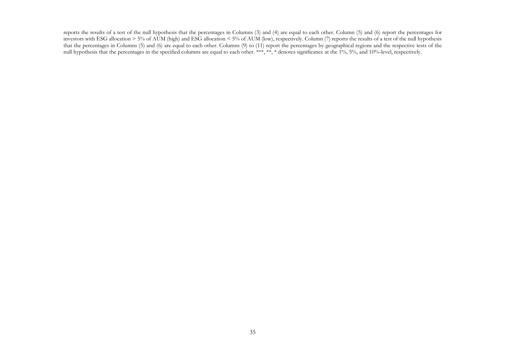reports the results of a test of the null hypothesis that the percentages in Columns (3) and (4) are equal to each other. Column (5) and (6) report the percentages for investors with ESG allocation > 5% of AUM (high) and ESG allocation < 5% of AUM (low), respectively. Column (7) reports the results of a test of the null hypothesis that the percentages in Columns (5) and (6) are equal to each other. Columns (9) to (11) report the percentages by geographical regions and the respective tests of the null hypothesis that the percentages in the specified columns are equal to each other. \*\*\*, \*\*, \* denotes significance at the 1%, 5%, and 10%-level, respectively.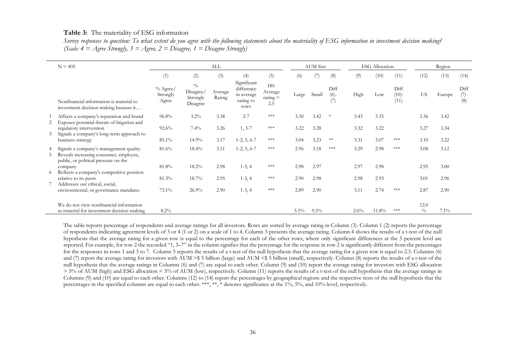#### **Table 3:** The materiality of ESG information

 *Survey responses to question: To what extent do you agree with the following statements about the materiality of ESG information in investment decision making? (Scale: 4 = Agree Strongly, 3 = Agree, 2 = Disagree, 1 = Disagree Strongly)* 

|    | $N = 405$                                                                                                                  |                                  |                                                    | <b>ALL</b>        |                                                              |                                            |         | <b>AUM</b> Size |                       |      | <b>ESG</b> Allocation |                         |                       | Region  |                        |
|----|----------------------------------------------------------------------------------------------------------------------------|----------------------------------|----------------------------------------------------|-------------------|--------------------------------------------------------------|--------------------------------------------|---------|-----------------|-----------------------|------|-----------------------|-------------------------|-----------------------|---------|------------------------|
|    |                                                                                                                            | (1)                              | (2)                                                | (3)               | (4)                                                          | (5)                                        | (6)     | (7)             | (8)                   | (9)  | (10)                  | (11)                    | (12)                  | (13)    | (14)                   |
|    | Nonfinancial information is material to<br>investment decision making because it                                           | $\%$ Agree/<br>Strongly<br>Agree | $\frac{0}{0}$<br>Disagree/<br>Strongly<br>Disagree | Average<br>Rating | Significant<br>difference<br>in average<br>rating vs<br>rows | H0:<br>Average<br>$\text{rating} =$<br>2.5 | Large   | Small           | Diff<br>$(6)-$<br>(7) | High | Low                   | Diff<br>$(10)-$<br>(11) | <b>US</b>             | Europe  | Diff<br>$(7)$ -<br>(8) |
|    | Affects a company's reputation and brand                                                                                   | 96.8%                            | $3.2\%$                                            | 3.38              | $2 - 7$                                                      | $***$                                      | 3.30    | 3.42            | $\ast$                | 3.43 | 3.35                  |                         | 3.36                  | 3.42    |                        |
|    | Exposes potential threats of litigation and<br>regulatory intervention<br>Signals a company's long-term approach to        | $92.6\%$                         | $7.4\%$                                            | 3.26              | $1, 3-7$                                                     | ***                                        | 3.22    | 3.28            |                       | 3.32 | 3.22                  |                         | 3.27                  | 3.34    |                        |
|    | business strategy                                                                                                          | 85.1%                            | 14.9%                                              | 3.17              | $1-2, 5, 6-7$                                                | $***$                                      | 3.04    | 3.23            | $**$                  | 3.31 | 3.07                  | $***$                   | 3.10                  | 3.22    |                        |
| 5. | 4 Signals a company's management quality<br>Reveals increasing consumer, employee,<br>public, or political pressure on the | 81.6%                            | 18.4%                                              | 3.11              | $1-2, 5, 6-7$                                                | ***                                        | 2.96    | 3.18            | ***                   | 3.29 | 2.98                  | $***$                   | 3.08                  | 3.12    |                        |
|    | company                                                                                                                    | 81.8%                            | 18.2%                                              | 2.98              | $1-3, 4$                                                     | $***$                                      | 2.98    | 2.97            |                       | 2.97 | 2.98                  |                         | 2.95                  | 3.00    |                        |
| 6  | Reflects a company's competitive position<br>relative to its peers<br>Addresses our ethical, social,                       | 81.3%                            | 18.7%                                              | 2.95              | $1-3, 4$                                                     | $***$                                      | 2.90    | 2.98            |                       | 2.98 | 2.93                  |                         | 3.01                  | 2.96    |                        |
|    | environmental, or governance mandates                                                                                      | 73.1%                            | 26.9%                                              | 2.90              | $1-3, 4$                                                     | $***$                                      | 2.89    | 2.90            |                       | 3.11 | 2.74                  | $***$                   | 2.87                  | 2.90    |                        |
|    | We do not view nonfinancial information<br>as material for investment decision making                                      | 8.2%                             |                                                    |                   |                                                              |                                            | $5.5\%$ | $9.5\%$         |                       | 2.6% | 11.8%                 | ***                     | 12.0<br>$\frac{0}{0}$ | $7.1\%$ |                        |

The table reports percentage of respondents and average ratings for all investors. Rows are sorted by average rating in Column (3). Column 1 (2) reports the percentage of respondents indicating agreement levels of 3 or 4 (1 or 2) on a scale of 1 to 4. Column 3 presents the average rating. Column 4 shows the results of a t-test of the null hypothesis that the average rating for a given row is equal to the percentage for each of the other rows, where only significant differences at the 5 percent level are reported. For example, for row 2 the recorded "1, 3–7" in the column signifies that the percentage for the response in row 2 is significantly different from the percentages for the responses in rows 1 and 3 to 7. Column 5 reports the results of a t-test of the null hypothesis that the average rating for a given row is equal to 2.5. Columns (6) and (7) report the average rating for investors with AUM > \$ 5 billion (large) and AUM < \$ 5 billion (small), respectively. Column (8) reports the results of a t-test of the null hypothesis that the average ratings in Columns (6) and (7) are equal to each other. Column (9) and (10) report the average rating for investors with ESG allocation  $> 5\%$  of AUM (high) and ESG allocation < 5% of AUM (low), respectively. Column (11) reports the results of a t-test of the null hypothesis that the average ratings in Columns (9) and (10) are equal to each other. Columns (12) to (14) report the percentages by geographical regions and the respective tests of the null hypothesis that the percentages in the specified columns are equal to each other. \*\*\*, \*\*, \* denotes significance at the 1%, 5%, and 10%-level, respectively.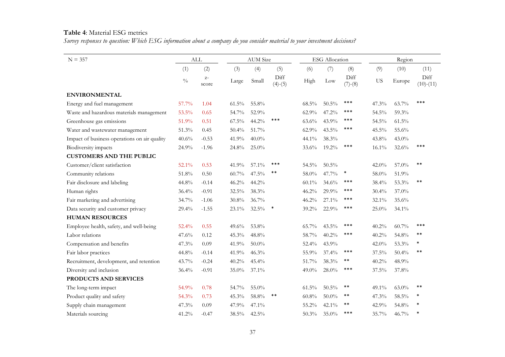#### **Table 4**: Material ESG metrics

*Survey responses to question: Which ESG information about a company do you consider material to your investment decisions?* 

| $N = 357$                                    |               | <b>ALL</b>    |          | <b>AUM</b> Size |                   |          | <b>ESG</b> Allocation |                   |           | Region   |                     |
|----------------------------------------------|---------------|---------------|----------|-----------------|-------------------|----------|-----------------------|-------------------|-----------|----------|---------------------|
|                                              | (1)           | (2)           | (3)      | (4)             | (5)               | (6)      | (7)                   | (8)               | (9)       | (10)     | (11)                |
|                                              | $\frac{0}{0}$ | $Z-$<br>score | Large    | Small           | Diff<br>$(4)-(5)$ | High     | Low                   | Diff<br>$(7)-(8)$ | <b>US</b> | Europe   | Diff<br>$(10)-(11)$ |
| <b>ENVIRONMENTAL</b>                         |               |               |          |                 |                   |          |                       |                   |           |          |                     |
| Energy and fuel management                   | 57.7%         | 1.04          | $61.5\%$ | 55.8%           |                   | 68.5%    | $50.5\%$              | ***               | 47.3%     | 63.7%    | ***                 |
| Waste and hazardous materials management     | 53.5%         | 0.65          | 54.7%    | 52.9%           |                   | 62.9%    | 47.2%                 | ***               | 54.5%     | 59.3%    |                     |
| Greenhouse gas emissions                     | 51.9%         | 0.51          | $67.5\%$ | 44.2%           | ***               | 63.6%    | 43.9%                 | ***               | 54.5%     | 61.5%    |                     |
| Water and wastewater management              | 51.3%         | 0.45          | 50.4%    | 51.7%           |                   | 62.9%    | 43.5%                 | ***               | 45.5%     | 55.6%    |                     |
| Impact of business operations on air quality | 40.6%         | $-0.53$       | 41.9%    | $40.0\%$        |                   | 44.1%    | 38.3%                 |                   | 43.8%     | 43.0%    |                     |
| Biodiversity impacts                         | 24.9%         | $-1.96$       | 24.8%    | $25.0\%$        |                   | 33.6%    | 19.2%                 | $***$             | 16.1%     | 32.6%    | ***                 |
| <b>CUSTOMERS AND THE PUBLIC</b>              |               |               |          |                 |                   |          |                       |                   |           |          |                     |
| Customer/client satisfaction                 | 52.1%         | 0.53          | 41.9%    | 57.1%           | ***               | 54.5%    | $50.5\%$              |                   | 42.0%     | 57.0%    | $***$               |
| Community relations                          | $51.8\%$      | 0.50          | $60.7\%$ | 47.5%           | $***$             | 58.0%    | 47.7%                 | $\ast$            | 58.0%     | 51.9%    |                     |
| Fair disclosure and labeling                 | 44.8%         | $-0.14$       | 46.2%    | 44.2%           |                   | $60.1\%$ | 34.6%                 | ***               | 38.4%     | 53.3%    | $***$               |
| Human rights                                 | 36.4%         | $-0.91$       | 32.5%    | 38.3%           |                   | 46.2%    | 29.9%                 | ***               | $30.4\%$  | 37.0%    |                     |
| Fair marketing and advertising               | 34.7%         | $-1.06$       | 30.8%    | 36.7%           |                   | 46.2%    | 27.1%                 | ***               | 32.1%     | 35.6%    |                     |
| Data security and customer privacy           | 29.4%         | $-1.55$       | 23.1%    | $32.5\%$        | $\ast$            | 39.2%    | 22.9%                 | $***$             | 25.0%     | 34.1%    |                     |
| <b>HUMAN RESOURCES</b>                       |               |               |          |                 |                   |          |                       |                   |           |          |                     |
| Employee health, safety, and well-being      | 52.4%         | 0.55          | 49.6%    | 53.8%           |                   | 65.7%    | $43.5\%$              | ***               | 40.2%     | $60.7\%$ | ***                 |
| Labor relations                              | 47.6%         | 0.12          | 45.3%    | 48.8%           |                   | 58.7%    | 40.2%                 | ***               | 40.2%     | 54.8%    | $***$               |
| Compensation and benefits                    | 47.3%         | 0.09          | 41.9%    | $50.0\%$        |                   | $52.4\%$ | 43.9%                 |                   | 42.0%     | 53.3%    | $\ast$              |
| Fair labor practices                         | 44.8%         | $-0.14$       | 41.9%    | 46.3%           |                   | 55.9%    | 37.4%                 | ***               | 37.5%     | 50.4%    | $***$               |
| Recruitment, development, and retention      | 43.7%         | $-0.24$       | 40.2%    | 45.4%           |                   | 51.7%    | 38.3%                 | **                | 40.2%     | 48.9%    |                     |
| Diversity and inclusion                      | 36.4%         | $-0.91$       | 35.0%    | 37.1%           |                   | $49.0\%$ | $28.0\%$              | ***               | $37.5\%$  | 37.8%    |                     |
| PRODUCTS AND SERVICES                        |               |               |          |                 |                   |          |                       |                   |           |          |                     |
| The long-term impact                         | 54.9%         | 0.78          | 54.7%    | 55.0%           |                   | $61.5\%$ | $50.5\%$              | **                | 49.1%     | $63.0\%$ | $***$               |
| Product quality and safety                   | 54.3%         | 0.73          | 45.3%    | $58.8\%$        | $***$             | 60.8%    | $50.0\%$              | **                | 47.3%     | 58.5%    | *                   |
| Supply chain management                      | 47.3%         | 0.09          | 47.9%    | 47.1%           |                   | 55.2%    | 42.1%                 | **                | 42.9%     | 54.8%    |                     |
| Materials sourcing                           | 41.2%         | $-0.47$       | 38.5%    | $42.5\%$        |                   | 50.3%    | $35.0\%$              | ***               | 35.7%     | 46.7%    |                     |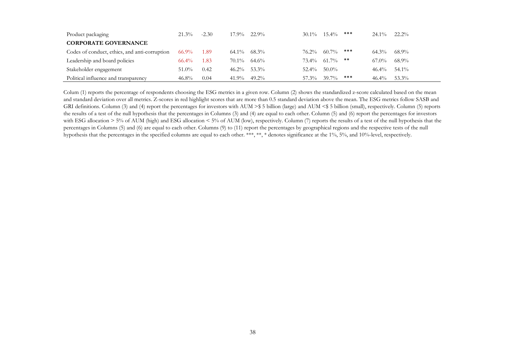| $21.3\%$ | $17.9\%$                                  |                                                                            | ***                              | $24.1\%$                                       | $22.2\%$ |
|----------|-------------------------------------------|----------------------------------------------------------------------------|----------------------------------|------------------------------------------------|----------|
|          |                                           |                                                                            |                                  |                                                |          |
| 66.9%    |                                           | $76.2\%$                                                                   |                                  | 64.3%                                          | 68.9%    |
| $66.4\%$ |                                           |                                                                            |                                  | 67.0%                                          | 68.9%    |
| $51.0\%$ |                                           | $52.4\%$                                                                   |                                  | $46.4\%$                                       | 54.1%    |
| $46.8\%$ | $41.9\%$                                  |                                                                            |                                  | $46.4\%$                                       | 53.3%    |
|          | $-2.30$<br>- 1.89<br>1.83<br>0.42<br>0.04 | 22.9%<br>$64.1\%$ $68.3\%$<br>$70.1\%$ 64.6%<br>$46.2\%$ 53.3%<br>$49.2\%$ | $30.1\%$ 15.4%<br>60.7%<br>50.0% | ***<br>$73.4\%$ 61.7% **<br>***<br>57.3% 39.7% |          |

Colum (1) reports the percentage of respondents choosing the ESG metrics in a given row. Column (2) shows the standardized z-score calculated based on the mean and standard deviation over all metrics. Z-scores in red highlight scores that are more than 0.5 standard deviation above the mean. The ESG metrics follow SASB and GRI definitions. Column (3) and (4) report the percentages for investors with AUM >\$ 5 billion (large) and AUM <\$ 5 billion (small), respectively. Column (5) reports the results of a test of the null hypothesis that the percentages in Columns (3) and (4) are equal to each other. Column (5) and (6) report the percentages for investors with ESG allocation > 5% of AUM (high) and ESG allocation < 5% of AUM (low), respectively. Column (7) reports the results of a test of the null hypothesis that the percentages in Columns (5) and (6) are equal to each other. Columns (9) to (11) report the percentages by geographical regions and the respective tests of the null hypothesis that the percentages in the specified columns are equal to each other. \*\*\*, \*\*, \* denotes significance at the 1%, 5%, and 10%-level, respectively.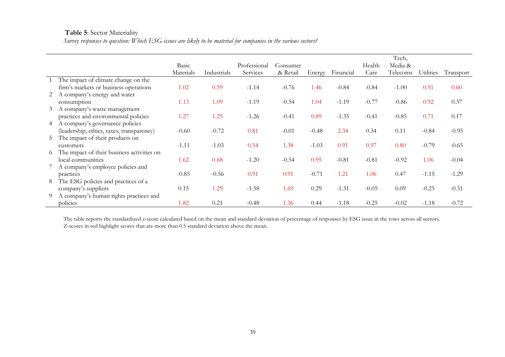#### **Table 5**: Sector Materiality

*Survey responses to question: Which ESG issues are likely to be material for companies in the various sectors?* 

|   |                                            |           |             |              |          |         |           |         | Tech,    |                  |           |
|---|--------------------------------------------|-----------|-------------|--------------|----------|---------|-----------|---------|----------|------------------|-----------|
|   |                                            | Basic     |             | Professional | Consumer |         |           | Health  | Media &  |                  |           |
|   |                                            | Materials | Industrials | Services     | & Retail | Energy  | Financial | Care    | Telecoms | <b>Utilities</b> | Transport |
|   | The impact of climate change on the        |           |             |              |          |         |           |         |          |                  |           |
|   | firm's markets or business operations      | 1.02      | 0.59        | $-1.14$      | $-0.76$  | 1.46    | $-0.84$   | $-0.84$ | $-1.00$  | 0.91             | 0.60      |
|   | 2 A company's energy and water             |           |             |              |          |         |           |         |          |                  |           |
|   | consumption                                | 1.13      | 1.09        | $-1.19$      | $-0.54$  | 1.04    | $-1.19$   | $-0.77$ | $-0.86$  | 0.92             | 0.37      |
| 3 | A company's waste management               |           |             |              |          |         |           |         |          |                  |           |
|   | practices and environmental policies       | 1.27      | 1.25        | $-1.26$      | $-0.41$  | 0.89    | $-1.35$   | $-0.41$ | $-0.85$  | 0.71             | 0.17      |
| 4 | A company's governance policies            |           |             |              |          |         |           |         |          |                  |           |
|   | (leadership, ethics, taxes, transparency)  | $-0.60$   | $-0.72$     | 0.81         | $-0.01$  | $-0.48$ | 2.34      | 0.34    | 0.11     | $-0.84$          | $-0.95$   |
| 5 | The impact of their products on            |           |             |              |          |         |           |         |          |                  |           |
|   | customers                                  | $-1.11$   | $-1.03$     | 0.54         | 1.38     | $-1.03$ | 0.91      | 0.97    | 0.80     | $-0.79$          | $-0.65$   |
| 6 | The impact of their business activities on |           |             |              |          |         |           |         |          |                  |           |
|   | local communities                          | 1.62      | 0.68        | $-1.20$      | $-0.54$  | 0.95    | $-0.81$   | $-0.81$ | $-0.92$  | 1.06             | $-0.04$   |
|   | 7 A company's employee policies and        |           |             |              |          |         |           |         |          |                  |           |
|   | practices                                  | $-0.85$   | $-0.56$     | 0.91         | 0.91     | $-0.71$ | 1.21      | 1.06    | 0.47     | $-1.15$          | $-1.29$   |
| 8 | The ESG policies and practices of a        |           |             |              |          |         |           |         |          |                  |           |
|   | company's suppliers                        | 0.15      | 1.29        | $-1.58$      | 1.69     | 0.29    | $-1.31$   | $-0.05$ | 0.09     | $-0.25$          | $-0.31$   |
| 9 | A company's human rights practices and     |           |             |              |          |         |           |         |          |                  |           |
|   | policies                                   | 1.82      | 0.21        | $-0.48$      | 1.36     | 0.44    | $-1.18$   | $-0.25$ | $-0.02$  | $-1.18$          | $-0.72$   |

The table reports the standardized z-score calculated based on the mean and standard deviation of percentage of responses by ESG issue in the rows across all sectors. Z-scores in red highlight scores that are more than 0.5 standard deviation above the mean.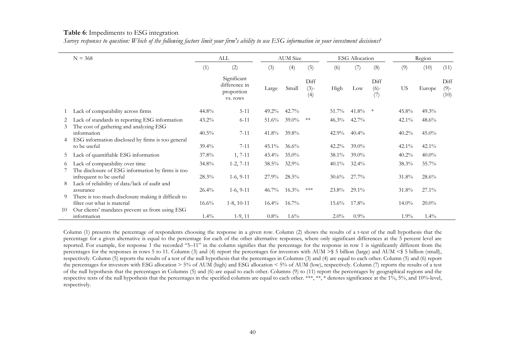#### **Table 6**: Impediments to ESG integration

*Survey responses to question: Which of the following factors limit your firm's ability to use ESG information in your investment decisions?* 

|         | $N = 368$                                                                                                                             |          | ALL                                                    |          | <b>AUM</b> Size |                       |          | <b>ESG</b> Allocation |                                              |           | Region   |                         |
|---------|---------------------------------------------------------------------------------------------------------------------------------------|----------|--------------------------------------------------------|----------|-----------------|-----------------------|----------|-----------------------|----------------------------------------------|-----------|----------|-------------------------|
|         |                                                                                                                                       | (1)      | (2)                                                    | (3)      | (4)             | (5)                   | (6)      | (7)                   | (8)                                          | (9)       | (10)     | (11)                    |
|         |                                                                                                                                       |          | Significant<br>difference in<br>proportion<br>vs. rows | Large    | Small           | Diff<br>$(3)-$<br>(4) | High     | Low                   | Diff<br>$(6)-$<br>$\left(\frac{7}{2}\right)$ | <b>US</b> | Europe   | Diff<br>$(9)$ -<br>(10) |
|         | Lack of comparability across firms                                                                                                    | $44.8\%$ | $5 - 11$                                               | $49.2\%$ | 42.7%           |                       | 51.7%    | 41.8%                 | $\ast$                                       | 45.8%     | $49.3\%$ |                         |
| 2<br>3  | Lack of standards in reporting ESG information<br>The cost of gathering and analyzing ESG                                             | $43.2\%$ | $6 - 11$                                               | $51.6\%$ | $39.0\%$        | $**$                  | $46.3\%$ | 42.7%                 |                                              | 42.1%     | 48.6%    |                         |
|         | information<br>ESG information disclosed by firms is too general                                                                      | $40.5\%$ | $7 - 11$                                               | $41.8\%$ | $39.8\%$        |                       | 42.9%    | $40.4\%$              |                                              | $40.2\%$  | $45.0\%$ |                         |
| 4       | to be useful                                                                                                                          | $39.4\%$ | $7 - 11$                                               | $45.1\%$ | 36.6%           |                       | $42.2\%$ | $39.0\%$              |                                              | $42.1\%$  | $42.1\%$ |                         |
| 5       | Lack of quantifiable ESG information                                                                                                  | 37.8%    | $1, 7-11$                                              | $43.4\%$ | $35.0\%$        |                       | 38.1%    | $39.0\%$              |                                              | $40.2\%$  | $40.0\%$ |                         |
| 6       | Lack of comparability over time<br>The disclosure of ESG information by firms is too                                                  | 34.8%    | $1-2, 7-11$                                            | $38.5\%$ | $32.9\%$        |                       | $40.1\%$ | $32.4\%$              |                                              | 38.3%     | $35.7\%$ |                         |
| 8       | infrequent to be useful<br>Lack of reliability of data/lack of audit and                                                              | $28.3\%$ | $1-6, 9-11$                                            | $27.9\%$ | $28.5\%$        |                       | $30.6\%$ | 27.7%                 |                                              | 31.8%     | $28.6\%$ |                         |
|         | assurance                                                                                                                             | $26.4\%$ | $1-6, 9-11$                                            | $46.7\%$ | $16.3\%$        | ***                   | $23.8\%$ | $29.1\%$              |                                              | 31.8%     | $27.1\%$ |                         |
| 9<br>10 | There is too much disclosure making it difficult to<br>filter out what is material<br>Our clients' mandates prevent us from using ESG | $16.6\%$ | $1-8$ , $10-11$                                        | $16.4\%$ | $16.7\%$        |                       | $15.6\%$ | $17.8\%$              |                                              | $14.0\%$  | $20.0\%$ |                         |
|         | information                                                                                                                           | $1.4\%$  | $1-9, 11$                                              | $0.8\%$  | $1.6\%$         |                       | $2.0\%$  | $0.9\%$               |                                              | $1.9\%$   | $1.4\%$  |                         |

Column (1) presents the percentage of respondents choosing the response in a given row. Column (2) shows the results of a t-test of the null hypothesis that the percentage for a given alternative is equal to the percentage for each of the other alternative responses, where only significant differences at the 5 percent level are reported. For example, for response 1 the recorded "5–11" in the column signifies that the percentage for the response in row 1 is significantly different from the percentages for the responses in rows 5 to 11. Column (3) and (4) report the percentages for investors with AUM  $\geq$  5 billion (large) and AUM  $\leq$  5 billion (small), respectively. Column (5) reports the results of a test of the null hypothesis that the percentages in Columns (3) and (4) are equal to each other. Column (5) and (6) report the percentages for investors with ESG allocation > 5% of AUM (high) and ESG allocation < 5% of AUM (low), respectively. Column (7) reports the results of a test of the null hypothesis that the percentages in Columns (5) and (6) are equal to each other. Columns (9) to (11) report the percentages by geographical regions and the respective tests of the null hypothesis that the percentages in the specified columns are equal to each other. \*\*\*, \*\*, \* denotes significance at the 1%, 5%, and 10%-level, respectively.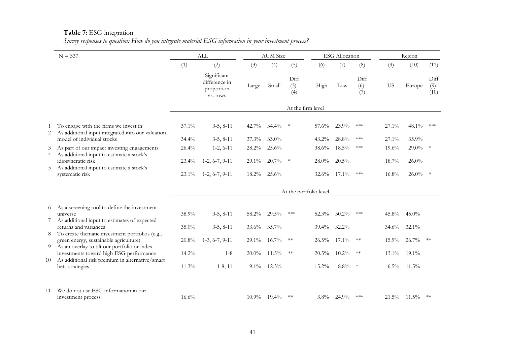## **Table 7**: ESG integration

|        | $N = 337$                                                                                  |          | <b>ALL</b>                                             |          | <b>AUM</b> Size |                       |                        | <b>ESG</b> Allocation |                       |           | Region   |                         |
|--------|--------------------------------------------------------------------------------------------|----------|--------------------------------------------------------|----------|-----------------|-----------------------|------------------------|-----------------------|-----------------------|-----------|----------|-------------------------|
|        |                                                                                            | (1)      | (2)                                                    | (3)      | (4)             | (5)                   | (6)                    | (7)                   | (8)                   | (9)       | (10)     | (11)                    |
|        |                                                                                            |          | Significant<br>difference in<br>proportion<br>vs. rows | Large    | Small           | Diff<br>$(3)-$<br>(4) | High                   | Low                   | Diff<br>$(6)-$<br>(7) | <b>US</b> | Europe   | Diff<br>$(9)$ -<br>(10) |
|        |                                                                                            |          |                                                        |          |                 | At the firm level     |                        |                       |                       |           |          |                         |
| 2      | To engage with the firms we invest in<br>As additional input integrated into our valuation | 37.1%    | $3-5, 8-11$                                            | 42.7%    | $34.4\%$        | -∗                    | 57.6%                  | 23.9%                 | $\ast\!\ast\!\ast$    | 27.1%     | 48.1%    | ***                     |
|        | model of individual stocks                                                                 | 34.4%    | $3-5, 8-11$                                            | 37.3%    | 33.0%           |                       | 43.2%                  | 28.8%                 | ***                   | 27.1%     | 35.9%    |                         |
| 3<br>4 | As part of our impact investing engagements<br>As additional input to estimate a stock's   | 26.4%    | $1-2, 6-11$                                            | 28.2%    | 25.6%           |                       | 38.6%                  | $18.5\%$              | $\ast\!\ast\!\ast$    | 19.6%     | $29.0\%$ | $\ast$                  |
|        | idiosyncratic risk                                                                         | $23.4\%$ | $1-2, 6-7, 9-11$                                       | $29.1\%$ | $20.7\%$        | $\rightarrow$         | $28.0\%$               | 20.5%                 |                       | 18.7%     | $26.0\%$ |                         |
| 5      | As additional input to estimate a stock's<br>systematic risk                               | $23.1\%$ | $1-2, 6-7, 9-11$                                       | $18.2\%$ | 25.6%           |                       | 32.6%                  | $17.1\%$              | ***                   | $16.8\%$  | $26.0\%$ | $\ast$                  |
|        |                                                                                            |          |                                                        |          |                 |                       | At the portfolio level |                       |                       |           |          |                         |
| 6      | As a screening tool to define the investment                                               |          |                                                        |          |                 |                       |                        |                       |                       |           |          |                         |
|        | universe                                                                                   | 38.9%    | $3-5, 8-11$                                            | 58.2%    | $29.5\%$        | $***$                 | 52.3%                  | 30.2%                 | ***                   | $45.8\%$  | $45.0\%$ |                         |
|        | As additional input to estimates of expected<br>returns and variances                      | $35.0\%$ | $3-5, 8-11$                                            | 33.6%    | 35.7%           |                       | $39.4\%$               | 32.2%                 |                       | $34.6\%$  | 32.1%    |                         |
| 8      | To create thematic investment portfolios (e.g.,                                            |          |                                                        |          |                 |                       |                        |                       |                       |           |          |                         |
| 9      | green energy, sustainable agriculture)<br>As an overlay to tilt our portfolio or index     | 20.8%    | $1-3, 6-7, 9-11$                                       | 29.1%    | $16.7\%$        | $**$                  | 26.5%                  | 17.1%                 | $**$                  | $15.9\%$  | 26.7%    | $**$                    |
|        | investments toward high ESG performance                                                    | 14.2%    | $1 - 8$                                                | $20.0\%$ | $11.5\%$        | $\ast\ast$            | $20.5\%$               | $10.2\%$              | $**$                  | $13.1\%$  | $19.1\%$ |                         |
| 10     | As additional risk premium in alternative/smart<br>beta strategies                         | 11.3%    | $1-8, 11$                                              | 9.1%     | 12.3%           |                       | 15.2%                  | 8.8%                  | $\ast$                | $6.5\%$   | $11.5\%$ |                         |
|        |                                                                                            |          |                                                        |          |                 |                       |                        |                       |                       |           |          |                         |
| 11     | We do not use ESG information in our                                                       |          |                                                        |          |                 |                       |                        |                       |                       |           |          |                         |
|        | investment process                                                                         | 16.6%    |                                                        | $10.9\%$ | $19.4\%$        | $**$                  | $3.8\%$                | 24.9%                 | ***                   | $21.5\%$  | $11.5\%$ | $**$                    |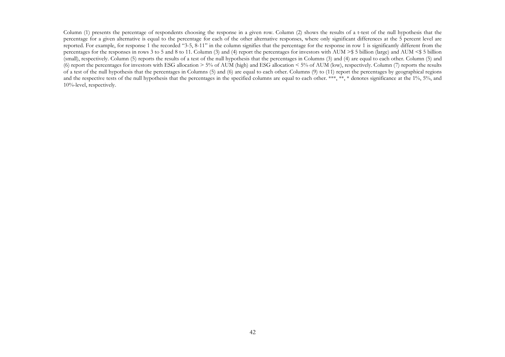Column (1) presents the percentage of respondents choosing the response in a given row. Column (2) shows the results of a t-test of the null hypothesis that the percentage for a given alternative is equal to the percentage for each of the other alternative responses, where only significant differences at the 5 percent level are reported. For example, for response 1 the recorded "3-5, 8-11" in the column signifies that the percentage for the response in row 1 is significantly different from the percentages for the responses in rows 3 to 5 and 8 to 11. Column (3) and (4) report the percentages for investors with AUM >\$ 5 billion (large) and AUM <\$ 5 billion (small), respectively. Column (5) reports the results of a test of the null hypothesis that the percentages in Columns (3) and (4) are equal to each other. Column (5) and (6) report the percentages for investors with ESG allocation > 5% of AUM (high) and ESG allocation < 5% of AUM (low), respectively. Column (7) reports the results of a test of the null hypothesis that the percentages in Columns (5) and (6) are equal to each other. Columns (9) to (11) report the percentages by geographical regions and the respective tests of the null hypothesis that the percentages in the specified columns are equal to each other. \*\*\*, \*\*, \* denotes significance at the 1%, 5%, and 10%-level, respectively.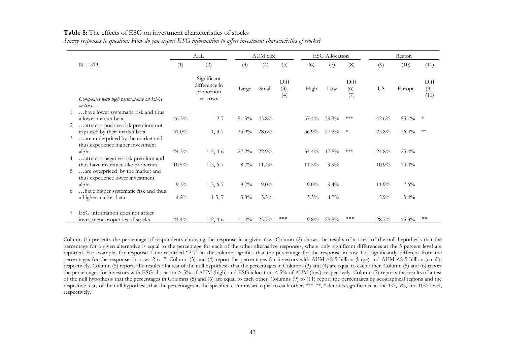#### **Table 8**: The effects of ESG on investment characteristics of stocks

|   |                                                   |          | ALL                                                    |          | <b>AUM</b> Size |                       |          | <b>ESG</b> Allocation |                       |          | Region   |                         |
|---|---------------------------------------------------|----------|--------------------------------------------------------|----------|-----------------|-----------------------|----------|-----------------------|-----------------------|----------|----------|-------------------------|
|   | $N = 313$                                         | (1)      | (2)                                                    | (3)      | (4)             | (5)                   | (6)      | (7)                   | (8)                   | (9)      | (10)     | (11)                    |
|   |                                                   |          | Significant<br>difference in<br>proportion<br>vs. rows | Large    | Small           | Diff<br>$(3)-$<br>(4) | High     | Low                   | Diff<br>$(6)-$<br>(7) | US       | Europe   | Diff<br>$(9)$ -<br>(10) |
|   | Companies with high performance on ESG<br>metrics |          |                                                        |          |                 |                       |          |                       |                       |          |          |                         |
|   | have lower systematic risk and thus               |          |                                                        |          |                 |                       |          |                       |                       |          |          |                         |
|   | a lower market beta                               | 46.3%    | $2 - 7$                                                | $51.5\%$ | 43.8%           |                       | 57.4%    | $39.3\%$              |                       | 42.6%    | 55.1%    | $\ast$                  |
| 2 | attract a positive risk premium not               |          |                                                        |          |                 |                       |          |                       |                       |          |          |                         |
|   | captured by their market beta                     | $31.0\%$ | $1, 3-7$                                               | $35.9\%$ | 28.6%           |                       | $36.9\%$ | $27.2\%$              | $\ast$                | 23.8%    | $36.4\%$ | $**$                    |
| 3 | are underpriced by the market and                 |          |                                                        |          |                 |                       |          |                       |                       |          |          |                         |
|   | thus experience higher investment<br>alpha        | 24.3%    | $1-2, 4-6$                                             | $27.2\%$ | $22.9\%$        |                       | $34.4\%$ | $17.8\%$              | ***                   | 24.8%    | 25.4%    |                         |
|   | attract a negative risk premium and               |          |                                                        |          |                 |                       |          |                       |                       |          |          |                         |
|   | thus have insurance-like properties               | $10.5\%$ | $1-3, 6-7$                                             | $8.7\%$  | $11.4\%$        |                       | $11.5\%$ | $9.9\%$               |                       | $10.9\%$ | $14.4\%$ |                         |
| 5 | are overpriced by the market and                  |          |                                                        |          |                 |                       |          |                       |                       |          |          |                         |
|   | thus experience lower investment                  |          |                                                        |          |                 |                       |          |                       |                       |          |          |                         |
|   | alpha                                             | $9.3\%$  | $1-3, 6-7$                                             | $9.7\%$  | $9.0\%$         |                       | $9.0\%$  | $9.4\%$               |                       | 11.9%    | $7.6\%$  |                         |
|   | have higher systematic risk and thus              |          |                                                        |          |                 |                       |          |                       |                       |          |          |                         |
|   | a higher market beta                              | $4.2\%$  | $1-5, 7$                                               | $5.8\%$  | $3.3\%$         |                       | $3.3\%$  | $4.7\%$               |                       | $5.9\%$  | $3.4\%$  |                         |
|   | ESG information does not affect                   |          |                                                        |          |                 |                       |          |                       |                       |          |          |                         |
|   | investment properties of stocks                   | $21.4\%$ | $1-2, 4-6$                                             | $11.4\%$ | 25.7%           | ***                   | $9.8\%$  | 28.8%                 | ***                   | 28.7%    | $15.3\%$ | $* *$                   |

*Survey responses to question: How do you expect ESG information to affect investment characteristics of stocks?* 

Column (1) presents the percentage of respondents choosing the response in a given row. Column (2) shows the results of a t-test of the null hypothesis that the percentage for a given alternative is equal to the percentage for each of the other alternative responses, where only significant differences at the 5 percent level are reported. For example, for response 1 the recorded "2-7" in the column signifies that the percentage for the response in row 1 is significantly different from the percentages for the responses in rows 2 to 7. Column (3) and (4) report the percentages for investors with AUM >\$ 5 billion (large) and AUM <\$ 5 billion (small), respectively. Column (5) reports the results of a test of the null hypothesis that the percentages in Columns (3) and (4) are equal to each other. Column (5) and (6) report the percentages for investors with ESG allocation > 5% of AUM (high) and ESG allocation < 5% of AUM (low), respectively. Column (7) reports the results of a test of the null hypothesis that the percentages in Columns (5) and (6) are equal to each other. Columns (9) to (11) report the percentages by geographical regions and the respective tests of the null hypothesis that the percentages in the specified columns are equal to each other. \*\*\*, \*\*, \* denotes significance at the 1%, 5%, and 10%-level, respectively.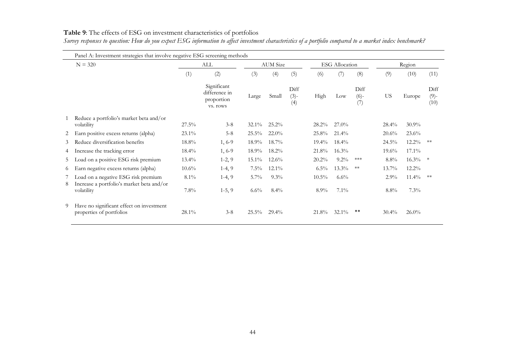|        | Panel A: Investment strategies that involve negative ESG screening methods       |          |                                                        |          |                 |                       |          |                       |                       |           |          |                         |
|--------|----------------------------------------------------------------------------------|----------|--------------------------------------------------------|----------|-----------------|-----------------------|----------|-----------------------|-----------------------|-----------|----------|-------------------------|
|        | $N = 320$                                                                        |          | ALL                                                    |          | <b>AUM</b> Size |                       |          | <b>ESG</b> Allocation |                       |           | Region   |                         |
|        |                                                                                  | (1)      | (2)                                                    | (3)      | (4)             | (5)                   | (6)      | (7)                   | (8)                   | (9)       | (10)     | (11)                    |
|        |                                                                                  |          | Significant<br>difference in<br>proportion<br>vs. rows | Large    | Small           | Diff<br>$(3)-$<br>(4) | High     | Low                   | Diff<br>$(6)-$<br>(7) | <b>US</b> | Europe   | Diff<br>$(9)$ -<br>(10) |
|        | Reduce a portfolio's market beta and/or<br>volatility                            | $27.5\%$ | $3 - 8$                                                | $32.1\%$ | 25.2%           |                       | $28.2\%$ | $27.0\%$              |                       | $28.4\%$  | $30.9\%$ |                         |
| 2      | Earn positive excess returns (alpha)                                             | $23.1\%$ | $5 - 8$                                                | $25.5\%$ | $22.0\%$        |                       | 25.8%    | $21.4\%$              |                       | $20.6\%$  | 23.6%    |                         |
| 3      | Reduce diversification benefits                                                  | $18.8\%$ | $1, 6-9$                                               | $18.9\%$ | $18.7\%$        |                       | $19.4\%$ | $18.4\%$              |                       | $24.5\%$  | $12.2\%$ | **                      |
| 4      | Increase the tracking error                                                      | $18.4\%$ | $1, 6-9$                                               | $18.9\%$ | $18.2\%$        |                       | 21.8%    | 16.3%                 |                       | $19.6\%$  | 17.1%    |                         |
| 5      | Load on a positive ESG risk premium                                              | $13.4\%$ | $1-2, 9$                                               | $15.1\%$ | $12.6\%$        |                       | $20.2\%$ | $9.2\%$               | ***                   | $8.8\%$   | $16.3\%$ | $\ast$                  |
| 6      | Earn negative excess returns (alpha)                                             | $10.6\%$ | $1-4, 9$                                               | $7.5\%$  | $12.1\%$        |                       | $6.5\%$  | $13.3\%$              | $**$                  | $13.7\%$  | $12.2\%$ |                         |
| 7<br>8 | Load on a negative ESG risk premium<br>Increase a portfolio's market beta and/or | $8.1\%$  | $1-4, 9$                                               | $5.7\%$  | $9.3\%$         |                       | $10.5\%$ | $6.6\%$               |                       | $2.9\%$   | $11.4\%$ | **                      |
|        | volatility                                                                       | $7.8\%$  | $1-5, 9$                                               | $6.6\%$  | $8.4\%$         |                       | $8.9\%$  | $7.1\%$               |                       | $8.8\%$   | 7.3%     |                         |
| 9      | Have no significant effect on investment<br>properties of portfolios             | $28.1\%$ | $3 - 8$                                                | $25.5\%$ | $29.4\%$        |                       | 21.8%    | $32.1\%$              | **                    | $30.4\%$  | $26.0\%$ |                         |

### **Table 9**: The effects of ESG on investment characteristics of portfolios

*Survey responses to question: How do you expect ESG information to affect investment characteristics of a portfolio compared to a market index benchmark?*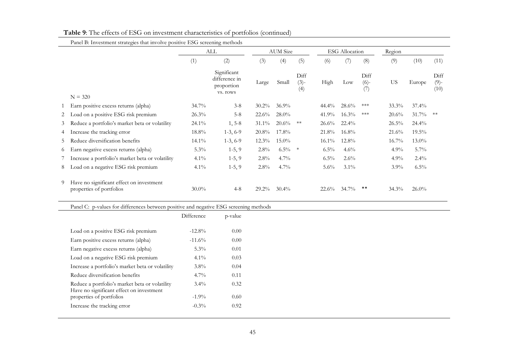|    |                                                                                            |            | ALL                                                    |          | <b>AUM</b> Size |                       |          | <b>ESG</b> Allocation |                       | Region    |          |                         |  |
|----|--------------------------------------------------------------------------------------------|------------|--------------------------------------------------------|----------|-----------------|-----------------------|----------|-----------------------|-----------------------|-----------|----------|-------------------------|--|
|    |                                                                                            | (1)        | (2)                                                    | (3)      | (4)             | (5)                   | (6)      | (7)                   | (8)                   | (9)       | (10)     | (11)                    |  |
|    | $N = 320$                                                                                  |            | Significant<br>difference in<br>proportion<br>vs. rows | Large    | Small           | Diff<br>$(3)-$<br>(4) | High     | Low                   | Diff<br>$(6)-$<br>(7) | <b>US</b> | Europe   | Diff<br>$(9)$ -<br>(10) |  |
|    | Earn positive excess returns (alpha)                                                       | $34.7\%$   | $3 - 8$                                                | 30.2%    | 36.9%           |                       | 44.4%    | 28.6%                 | $***$                 | 33.3%     | 37.4%    |                         |  |
| 2  | Load on a positive ESG risk premium                                                        | 26.3%      | $5 - 8$                                                | 22.6%    | 28.0%           |                       | 41.9%    | 16.3%                 | $\ast\!\ast\!\ast$    | 20.6%     | 31.7%    | $\ast\ast$              |  |
| 3  | Reduce a portfolio's market beta or volatility                                             | $24.1\%$   | $1, 5-8$                                               | 31.1%    | 20.6%           | $\ast\ast$            | 26.6%    | 22.4%                 |                       | $26.5\%$  | 24.4%    |                         |  |
| 4  | Increase the tracking error                                                                | $18.8\%$   | $1-3, 6-9$                                             | 20.8%    | 17.8%           |                       | 21.8%    | 16.8%                 |                       | 21.6%     | 19.5%    |                         |  |
| 5. | Reduce diversification benefits                                                            | $14.1\%$   | $1-3, 6-9$                                             | 12.3%    | 15.0%           |                       | $16.1\%$ | 12.8%                 |                       | $16.7\%$  | 13.0%    |                         |  |
| 6  | Earn negative excess returns (alpha)                                                       | 5.3%       | $1-5, 9$                                               | 2.8%     | $6.5\%$         | $\ast$                | 6.5%     | 4.6%                  |                       | 4.9%      | 5.7%     |                         |  |
| 7. | Increase a portfolio's market beta or volatility                                           | 4.1%       | $1-5, 9$                                               | 2.8%     | 4.7%            |                       | $6.5\%$  | 2.6%                  |                       | 4.9%      | 2.4%     |                         |  |
| 8  | Load on a negative ESG risk premium                                                        | $4.1\%$    | $1-5, 9$                                               | 2.8%     | 4.7%            |                       | 5.6%     | 3.1%                  |                       | 3.9%      | 6.5%     |                         |  |
| 9  | Have no significant effect on investment<br>properties of portfolios                       | $30.0\%$   | $4 - 8$                                                | $29.2\%$ | 30.4%           |                       | 22.6%    | 34.7%                 | $***$                 | 34.3%     | $26.0\%$ |                         |  |
|    | Panel C: p-values for differences between positive and negative ESG screening methods      |            |                                                        |          |                 |                       |          |                       |                       |           |          |                         |  |
|    |                                                                                            | Difference | p-value                                                |          |                 |                       |          |                       |                       |           |          |                         |  |
|    | Load on a positive ESG risk premium                                                        | $-12.8%$   | 0.00                                                   |          |                 |                       |          |                       |                       |           |          |                         |  |
|    | Earn positive excess returns (alpha)                                                       | $-11.6%$   | 0.00                                                   |          |                 |                       |          |                       |                       |           |          |                         |  |
|    | Earn negative excess returns (alpha)                                                       | $5.3\%$    | 0.01                                                   |          |                 |                       |          |                       |                       |           |          |                         |  |
|    | Load on a negative ESG risk premium                                                        | $4.1\%$    | 0.03                                                   |          |                 |                       |          |                       |                       |           |          |                         |  |
|    | Increase a portfolio's market beta or volatility                                           | $3.8\%$    | 0.04                                                   |          |                 |                       |          |                       |                       |           |          |                         |  |
|    | Reduce diversification benefits                                                            | 4.7%       | 0.11                                                   |          |                 |                       |          |                       |                       |           |          |                         |  |
|    | Reduce a portfolio's market beta or volatility<br>Have no significant effect on investment | 3.4%       | 0.32                                                   |          |                 |                       |          |                       |                       |           |          |                         |  |
|    |                                                                                            |            |                                                        |          |                 |                       |          |                       |                       |           |          |                         |  |
|    | properties of portfolios<br>Increase the tracking error                                    | $-1.9\%$   | 0.60                                                   |          |                 |                       |          |                       |                       |           |          |                         |  |

## **Table 9**: The effects of ESG on investment characteristics of portfolios (continued)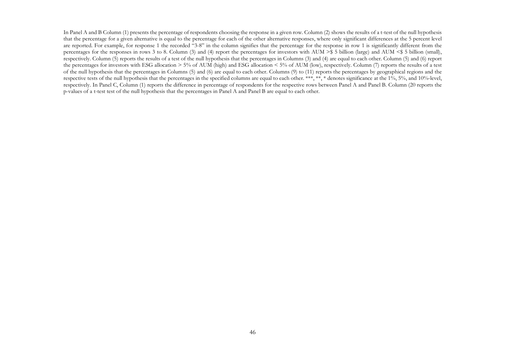In Panel A and B Column (1) presents the percentage of respondents choosing the response in a given row. Column (2) shows the results of a t-test of the null hypothesis that the percentage for a given alternative is equal to the percentage for each of the other alternative responses, where only significant differences at the 5 percent level are reported. For example, for response 1 the recorded "3-8" in the column signifies that the percentage for the response in row 1 is significantly different from the percentages for the responses in rows 3 to 8. Column (3) and (4) report the percentages for investors with AUM >\$ 5 billion (large) and AUM <\$ 5 billion (small), respectively. Column (5) reports the results of a test of the null hypothesis that the percentages in Columns (3) and (4) are equal to each other. Column (5) and (6) report the percentages for investors with ESG allocation > 5% of AUM (high) and ESG allocation < 5% of AUM (low), respectively. Column (7) reports the results of a test of the null hypothesis that the percentages in Columns (5) and (6) are equal to each other. Columns (9) to (11) reports the percentages by geographical regions and the respective tests of the null hypothesis that the percentages in the specified columns are equal to each other. \*\*\*, \*\*, \* denotes significance at the 1%, 5%, and 10%-level, respectively. In Panel C, Column (1) reports the difference in percentage of respondents for the respective rows between Panel A and Panel B. Column (20 reports the p-values of a t-test test of the null hypothesis that the percentages in Panel A and Panel B are equal to each other.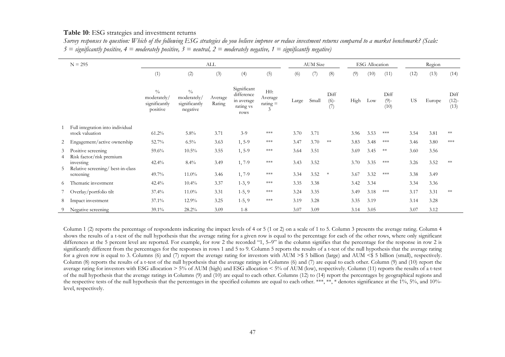#### **Table 10**: ESG strategies and investment returns

| Survey responses to question: Which of the following ESG strategies do you believe improve or reduce investment returns compared to a market benchmark? (Scale: |  |  |
|-----------------------------------------------------------------------------------------------------------------------------------------------------------------|--|--|
| $5 =$ significantly positive, $4 =$ moderately positive, $3 =$ neutral, $2 =$ moderately negative, $1 =$ significantly negative)                                |  |  |

|        | $N = 295$                                           |                                                           |                                                           | ALL               |                                                              |                                          |       | <b>AUM</b> Size |                       |      | <b>ESG</b> Allocation |                         |           | Region |                      |  |  |
|--------|-----------------------------------------------------|-----------------------------------------------------------|-----------------------------------------------------------|-------------------|--------------------------------------------------------------|------------------------------------------|-------|-----------------|-----------------------|------|-----------------------|-------------------------|-----------|--------|----------------------|--|--|
|        |                                                     | (1)                                                       | (2)                                                       | (3)               | (4)                                                          | (5)                                      | (6)   | (7)             | (8)                   | (9)  | (10)                  | (11)                    | (12)      | (13)   | (14)                 |  |  |
|        |                                                     | $\frac{0}{0}$<br>moderately/<br>significantly<br>positive | $\frac{0}{0}$<br>moderately/<br>significantly<br>negative | Average<br>Rating | Significant<br>difference<br>in average<br>rating vs<br>rows | H0:<br>Average<br>$\text{rating} =$<br>3 | Large | Small           | Diff<br>$(6)-$<br>(7) | High | Low                   | Diff<br>$(9)$ -<br>(10) | <b>US</b> | Europe | Diff<br>(12)<br>(13) |  |  |
|        | Full integration into individual<br>stock valuation | $61.2\%$                                                  | $5.8\%$                                                   | 3.71              | $3-9$                                                        | $***$                                    | 3.70  | 3.71            |                       | 3.96 | 3.53                  | ***                     | 3.54      | 3.81   | **                   |  |  |
| 2      | Engagement/active ownership                         | 52.7%                                                     | $6.5\%$                                                   | 3.63              | $1, 5-9$                                                     | $***$                                    | 3.47  | 3.70            | $**$                  | 3.83 | 3.48                  | ***                     | 3.46      | 3.80   | $***$                |  |  |
| 3<br>4 | Positive screening<br>Risk factor/risk premium      | 59.6%                                                     | $10.5\%$                                                  | 3.55              | $1, 5-9$                                                     | $***$                                    | 3.64  | 3.51            |                       | 3.69 | 3.45                  | $**$                    | 3.60      | 3.56   |                      |  |  |
| 5      | investing<br>Relative screening/best-in-class       | 42.4%                                                     | $8.4\%$                                                   | 3.49              | $1, 7-9$                                                     | $***$                                    | 3.43  | 3.52            |                       | 3.70 | 3.35                  | ***                     | 3.26      | 3.52   | $**$                 |  |  |
|        | screening                                           | 49.7%                                                     | $11.0\%$                                                  | 3.46              | $1, 7-9$                                                     | $***$                                    | 3.34  | 3.52            | $\ast$                | 3.67 | 3.32                  | $***$                   | 3.38      | 3.49   |                      |  |  |
| 6      | Thematic investment                                 | 42.4%                                                     | $10.4\%$                                                  | 3.37              | $1-3, 9$                                                     | $***$                                    | 3.35  | 3.38            |                       | 3.42 | 3.34                  |                         | 3.34      | 3.36   |                      |  |  |
|        | Overlay/portfolio tilt                              | 37.4%                                                     | $11.0\%$                                                  | 3.31              | $1-5, 9$                                                     | $***$                                    | 3.24  | 3.35            |                       | 3.49 | 3.18                  | ***                     | 3.17      | 3.31   | $**$                 |  |  |
| 8      | Impact investment                                   | $37.1\%$                                                  | 12.9%                                                     | 3.25              | $1-5, 9$                                                     | $***$                                    | 3.19  | 3.28            |                       | 3.35 | 3.19                  |                         | 3.14      | 3.28   |                      |  |  |
| 9      | Negative screening                                  | 39.1%                                                     | 28.2%                                                     | 3.09              | $1 - 8$                                                      |                                          | 3.07  | 3.09            |                       | 3.14 | 3.05                  |                         | 3.07      | 3.12   |                      |  |  |

Column 1 (2) reports the percentage of respondents indicating the impact levels of 4 or 5 (1 or 2) on a scale of 1 to 5. Column 3 presents the average rating. Column 4 shows the results of a t-test of the null hypothesis that the average rating for a given row is equal to the percentage for each of the other rows, where only significant differences at the 5 percent level are reported. For example, for row 2 the recorded "1, 5–9" in the column signifies that the percentage for the response in row 2 is significantly different from the percentages for the responses in rows 1 and 5 to 9. Column 5 reports the results of a t-test of the null hypothesis that the average rating for a given row is equal to 3. Columns (6) and (7) report the average rating for investors with AUM >\$ 5 billion (large) and AUM <\$ 5 billion (small), respectively. Column (8) reports the results of a t-test of the null hypothesis that the average ratings in Columns (6) and (7) are equal to each other. Column (9) and (10) report the average rating for investors with ESG allocation > 5% of AUM (high) and ESG allocation < 5% of AUM (low), respectively. Column (11) reports the results of a t-test of the null hypothesis that the average ratings in Columns (9) and (10) are equal to each other. Columns (12) to (14) report the percentages by geographical regions and the respective tests of the null hypothesis that the percentages in the specified columns are equal to each other. \*\*\*, \*\*, \* denotes significance at the 1%, 5%, and 10%level, respectively.